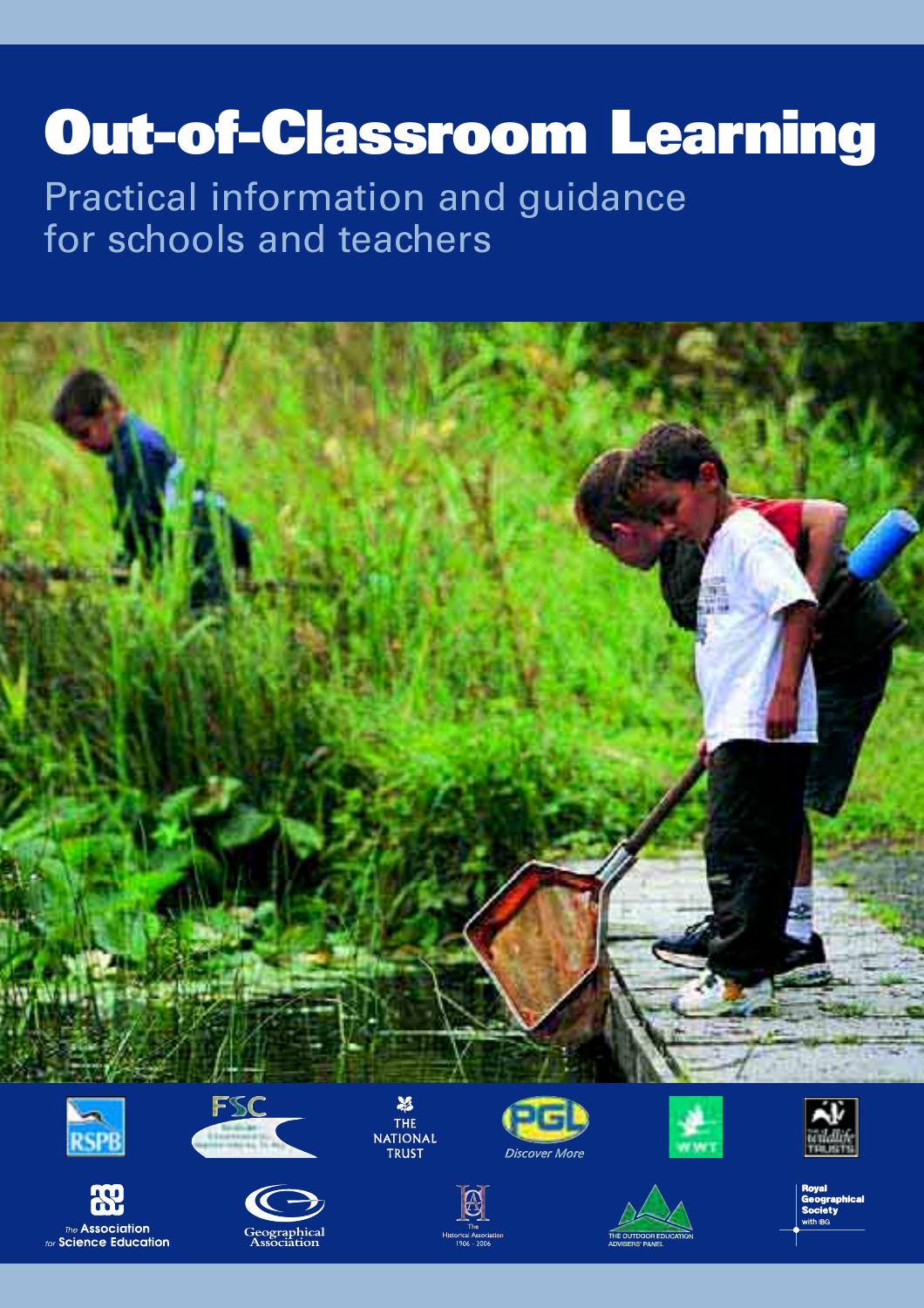# **Out-of-Classroom Learning**

## Practical information and guidance for schools and teachers





Ж, The Association

for Science Education











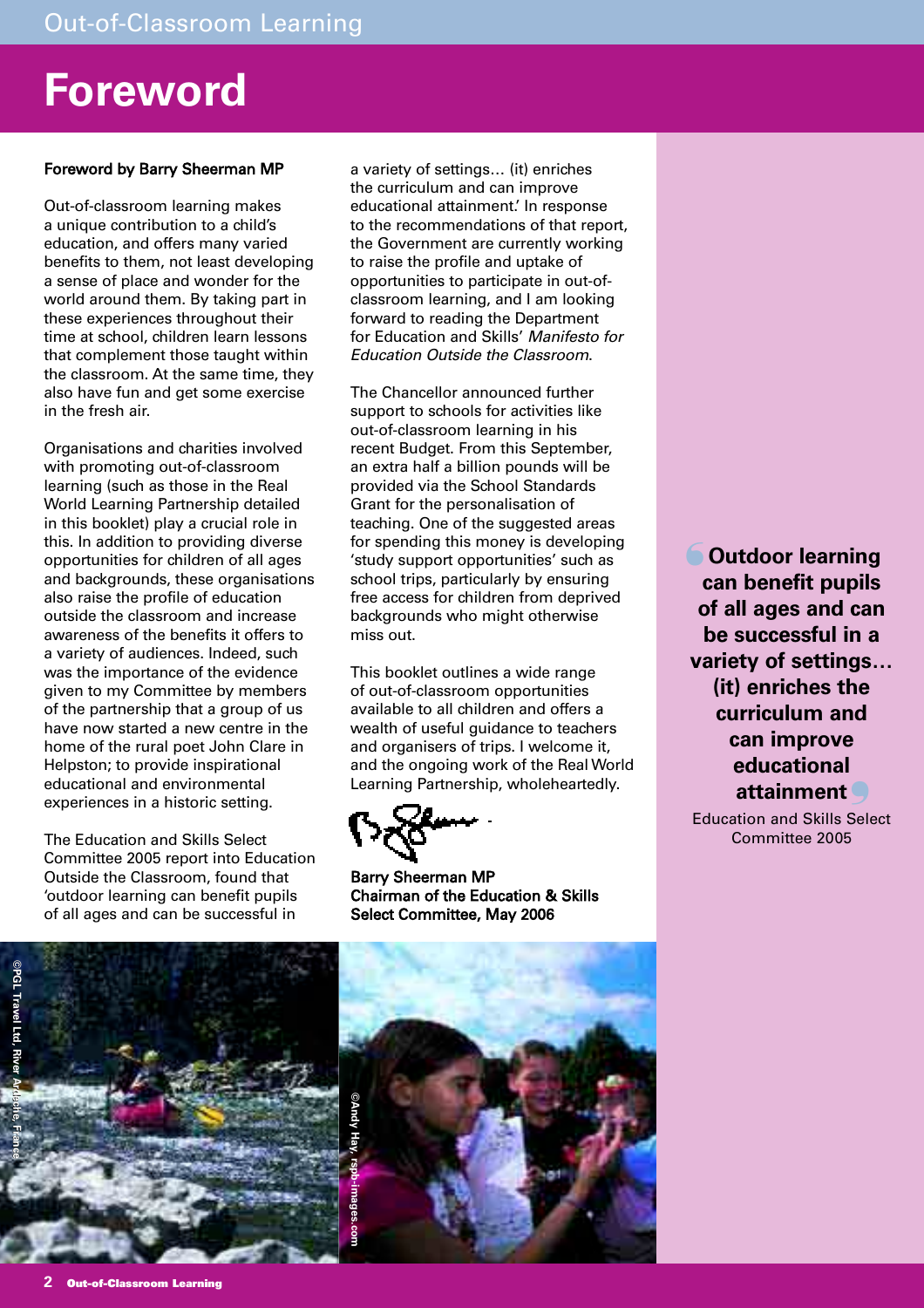## **Foreword**

## Foreword by Barry Sheerman MP

Out-of-classroom learning makes a unique contribution to a child's education, and offers many varied benefits to them, not least developing a sense of place and wonder for the world around them. By taking part in these experiences throughout their time at school, children learn lessons that complement those taught within the classroom. At the same time, they also have fun and get some exercise in the fresh air.

Organisations and charities involved with promoting out-of-classroom learning (such as those in the Real World Learning Partnership detailed in this booklet) play a crucial role in this. In addition to providing diverse opportunities for children of all ages and backgrounds, these organisations also raise the profile of education outside the classroom and increase awareness of the benefits it offers to a variety of audiences. Indeed, such was the importance of the evidence given to my Committee by members of the partnership that a group of us have now started a new centre in the home of the rural poet John Clare in Helpston; to provide inspirational educational and environmental experiences in a historic setting.

The Education and Skills Select Committee 2005 report into Education Outside the Classroom, found that 'outdoor learning can benefit pupils of all ages and can be successful in

a variety of settings… (it) enriches the curriculum and can improve educational attainment.' In response to the recommendations of that report, the Government are currently working to raise the profile and uptake of opportunities to participate in out-ofclassroom learning, and I am looking forward to reading the Department for Education and Skills' Manifesto for Education Outside the Classroom.

The Chancellor announced further support to schools for activities like out-of-classroom learning in his recent Budget. From this September, an extra half a billion pounds will be provided via the School Standards Grant for the personalisation of teaching. One of the suggested areas for spending this money is developing 'study support opportunities' such as school trips, particularly by ensuring free access for children from deprived backgrounds who might otherwise miss out.

This booklet outlines a wide range of out-of-classroom opportunities available to all children and offers a wealth of useful guidance to teachers and organisers of trips. I welcome it, and the ongoing work of the Real World Learning Partnership, wholeheartedly.

Barry Sheerman MP Chairman of the Education & Skills Select Committee, May 2006

**Outdoor learning** ❛ **can benefit pupils of all ages and can be successful in a variety of settings… (it) enriches the curriculum and can improve educational attainment** ❜

Education and Skills Select Committee 2005

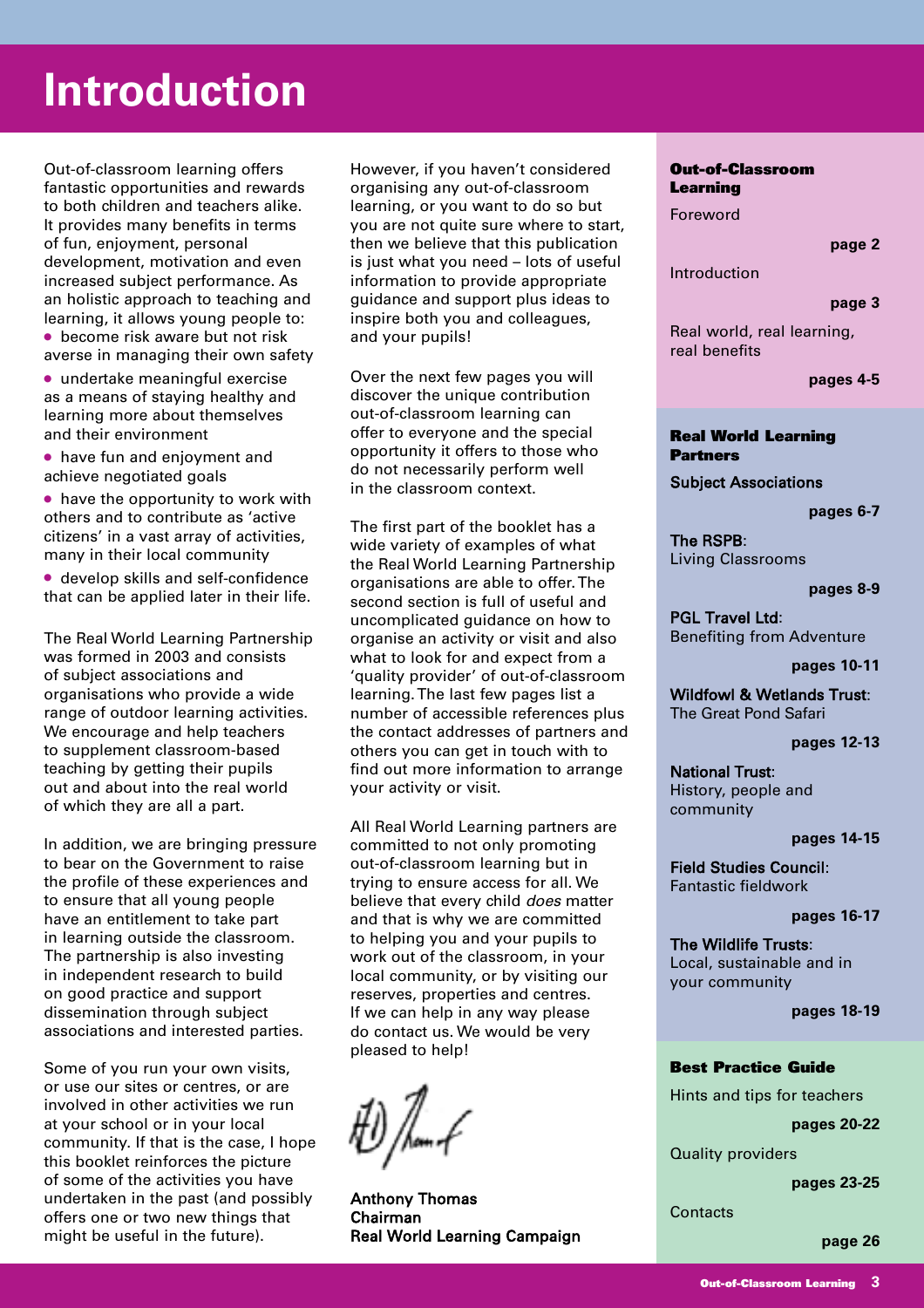## **Introduction**

Out-of-classroom learning offers fantastic opportunities and rewards to both children and teachers alike. It provides many benefits in terms of fun, enjoyment, personal development, motivation and even increased subject performance. As an holistic approach to teaching and learning, it allows young people to:

● become risk aware but not risk averse in managing their own safety

● undertake meaningful exercise as a means of staying healthy and learning more about themselves and their environment

● have fun and enjoyment and achieve negotiated goals

● have the opportunity to work with others and to contribute as 'active citizens' in a vast array of activities, many in their local community

● develop skills and self-confidence that can be applied later in their life.

The Real World Learning Partnership was formed in 2003 and consists of subject associations and organisations who provide a wide range of outdoor learning activities. We encourage and help teachers to supplement classroom-based teaching by getting their pupils out and about into the real world of which they are all a part.

In addition, we are bringing pressure to bear on the Government to raise the profile of these experiences and to ensure that all young people have an entitlement to take part in learning outside the classroom. The partnership is also investing in independent research to build on good practice and support dissemination through subject associations and interested parties.

Some of you run your own visits, or use our sites or centres, or are involved in other activities we run at your school or in your local community. If that is the case, I hope this booklet reinforces the picture of some of the activities you have undertaken in the past (and possibly offers one or two new things that might be useful in the future).

However, if you haven't considered organising any out-of-classroom learning, or you want to do so but you are not quite sure where to start, then we believe that this publication is just what you need – lots of useful information to provide appropriate guidance and support plus ideas to inspire both you and colleagues, and your pupils!

Over the next few pages you will discover the unique contribution out-of-classroom learning can offer to everyone and the special opportunity it offers to those who do not necessarily perform well in the classroom context.

The first part of the booklet has a wide variety of examples of what the Real World Learning Partnership organisations are able to offer. The second section is full of useful and uncomplicated guidance on how to organise an activity or visit and also what to look for and expect from a 'quality provider' of out-of-classroom learning. The last few pages list a number of accessible references plus the contact addresses of partners and others you can get in touch with to find out more information to arrange your activity or visit.

All Real World Learning partners are committed to not only promoting out-of-classroom learning but in trying to ensure access for all. We believe that every child *does* matter and that is why we are committed to helping you and your pupils to work out of the classroom, in your local community, or by visiting our reserves, properties and centres. If we can help in any way please do contact us. We would be very pleased to help!

Anthony Thomas Chairman Real World Learning Campaign

### **Out-of-Classroom Learning**

Foreword

**page 2**

Introduction

#### **page 3**

Real world, real learning, real benefits

**pages 4-5**

### **Real World Learning Partners**

Subject Associations

**pages 6-7**

The RSPB: Living Classrooms

**pages 8-9**

PGL Travel Ltd: Benefiting from Adventure

**pages 10-11**

Wildfowl & Wetlands Trust: The Great Pond Safari

**pages 12-13**

National Trust: History, people and community

**pages 14-15**

Field Studies Council: Fantastic fieldwork

**pages 16-17**

The Wildlife Trusts: Local, sustainable and in your community

**pages 18-19**

### **Best Practice Guide**

Hints and tips for teachers

**pages 20-22**

Quality providers

**pages 23-25**

**Contacts** 

**page 26**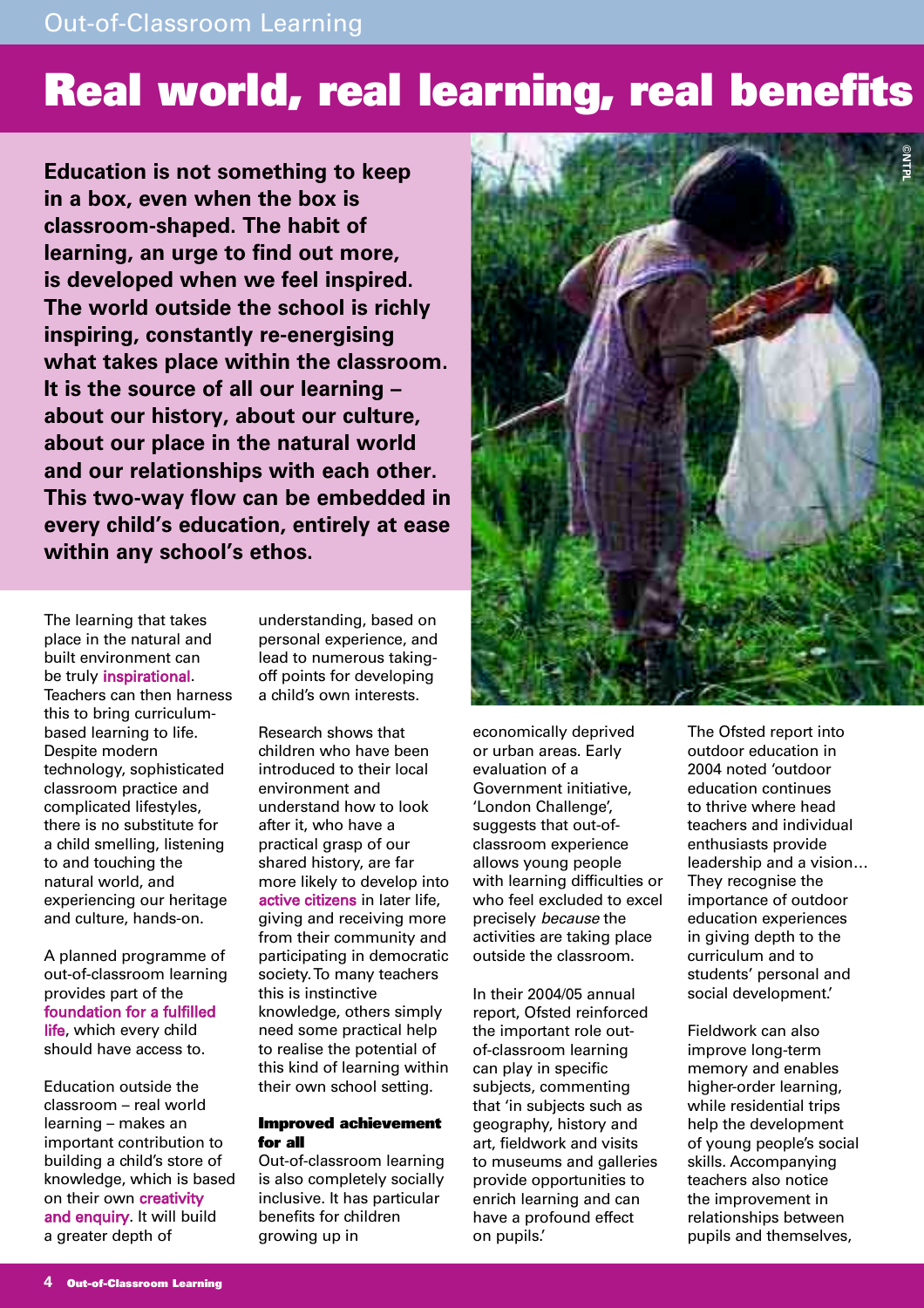## **Real world, real learning, real benefits**

**Education is not something to keep in a box, even when the box is classroom-shaped. The habit of learning, an urge to find out more, is developed when we feel inspired. The world outside the school is richly inspiring, constantly re-energising what takes place within the classroom. It is the source of all our learning – about our history, about our culture, about our place in the natural world and our relationships with each other. This two-way flow can be embedded in every child's education, entirely at ease within any school's ethos.**



The learning that takes place in the natural and built environment can be truly inspirational. Teachers can then harness this to bring curriculumbased learning to life. Despite modern technology, sophisticated classroom practice and complicated lifestyles, there is no substitute for a child smelling, listening to and touching the natural world, and experiencing our heritage and culture, hands-on.

A planned programme of out-of-classroom learning provides part of the foundation for a fulfilled life, which every child should have access to.

Education outside the classroom – real world learning – makes an important contribution to building a child's store of knowledge, which is based on their own creativity and enquiry. It will build a greater depth of

understanding, based on personal experience, and lead to numerous takingoff points for developing a child's own interests.

Research shows that children who have been introduced to their local environment and understand how to look after it, who have a practical grasp of our shared history, are far more likely to develop into active citizens in later life, giving and receiving more from their community and participating in democratic society. To many teachers this is instinctive knowledge, others simply need some practical help to realise the potential of this kind of learning within their own school setting.

### **Improved achievement for all**

Out-of-classroom learning is also completely socially inclusive. It has particular benefits for children growing up in

economically deprived or urban areas. Early evaluation of a Government initiative, 'London Challenge', suggests that out-ofclassroom experience allows young people with learning difficulties or who feel excluded to excel precisely because the activities are taking place outside the classroom.

In their 2004/05 annual report, Ofsted reinforced the important role outof-classroom learning can play in specific subjects, commenting that 'in subjects such as geography, history and art, fieldwork and visits to museums and galleries provide opportunities to enrich learning and can have a profound effect on pupils.'

The Ofsted report into outdoor education in 2004 noted 'outdoor education continues to thrive where head teachers and individual enthusiasts provide leadership and a vision… They recognise the importance of outdoor education experiences in giving depth to the curriculum and to students' personal and social development.'

Fieldwork can also improve long-term memory and enables higher-order learning, while residential trips help the development of young people's social skills. Accompanying teachers also notice the improvement in relationships between pupils and themselves,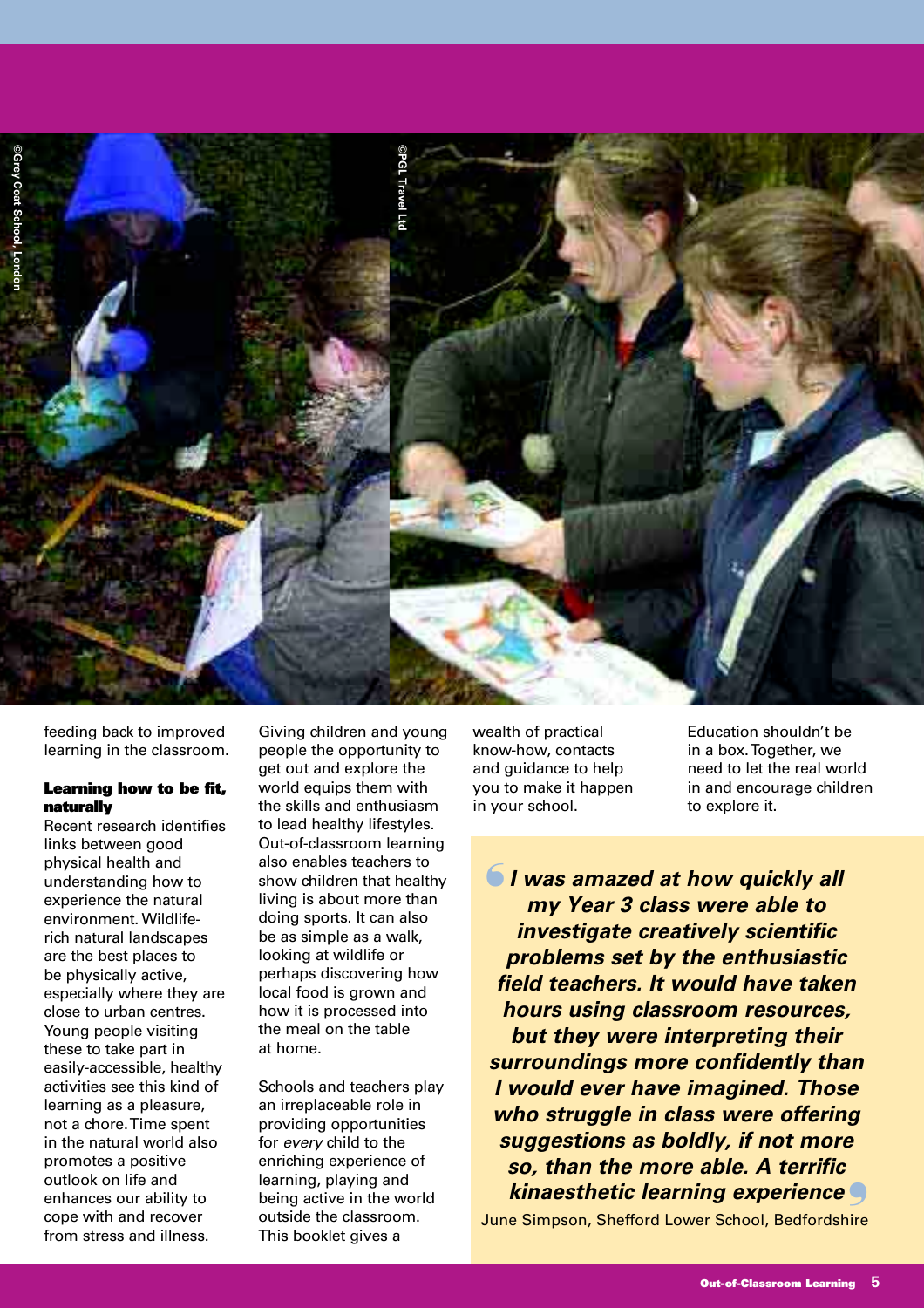



feeding back to improved learning in the classroom.

### **Learning how to be fit, naturally**

Recent research identifies links between good physical health and understanding how to experience the natural environment. Wildliferich natural landscapes are the best places to be physically active, especially where they are close to urban centres. Young people visiting these to take part in easily-accessible, healthy activities see this kind of learning as a pleasure, not a chore. Time spent in the natural world also promotes a positive outlook on life and enhances our ability to cope with and recover from stress and illness.

Giving children and young people the opportunity to get out and explore the world equips them with the skills and enthusiasm to lead healthy lifestyles. Out-of-classroom learning also enables teachers to show children that healthy living is about more than doing sports. It can also be as simple as a walk, looking at wildlife or perhaps discovering how local food is grown and how it is processed into the meal on the table at home.

Schools and teachers play an irreplaceable role in providing opportunities for every child to the enriching experience of learning, playing and being active in the world outside the classroom. This booklet gives a

wealth of practical know-how, contacts and guidance to help you to make it happen in your school.

Education shouldn't be in a box. Together, we need to let the real world in and encourage children to explore it.

 $\blacksquare$  I was amazed at how quickly all **my Year 3 class were able to investigate creatively scientific problems set by the enthusiastic field teachers. It would have taken hours using classroom resources, but they were interpreting their surroundings more confidently than I would ever have imagined. Those who struggle in class were offering suggestions as boldly, if not more so, than the more able. A terrific kinaesthetic learning experience** ❜

June Simpson, Shefford Lower School, Bedfordshire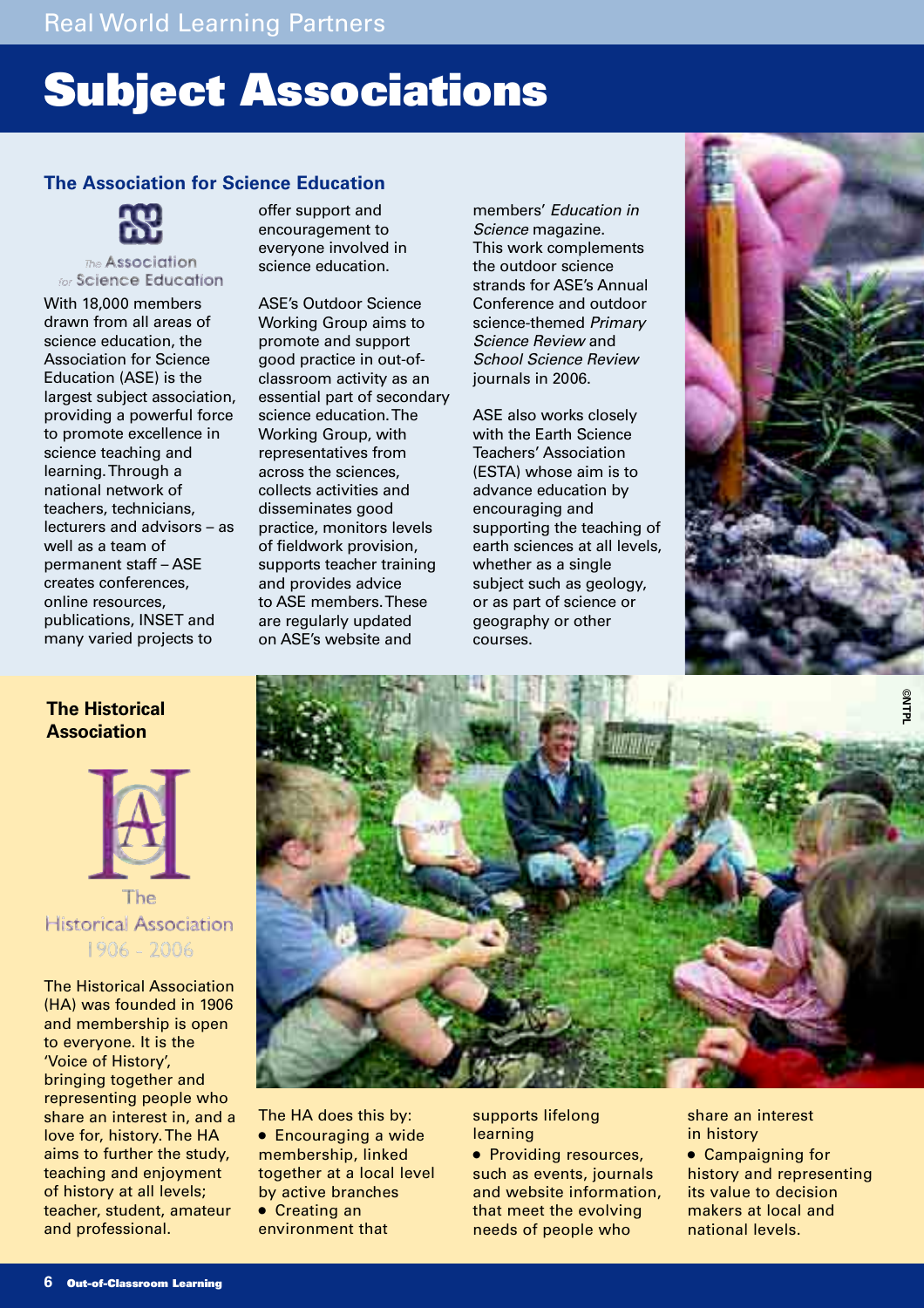## **Subject Associations**

## **The Association for Science Education**



#### The Association for Science Education

With 18,000 members drawn from all areas of science education, the Association for Science Education (ASE) is the largest subject association, providing a powerful force to promote excellence in science teaching and learning. Through a national network of teachers, technicians, lecturers and advisors – as well as a team of permanent staff – ASE creates conferences, online resources, publications, INSET and many varied projects to

offer support and encouragement to everyone involved in science education.

ASE's Outdoor Science Working Group aims to promote and support good practice in out-ofclassroom activity as an essential part of secondary science education. The Working Group, with representatives from across the sciences, collects activities and disseminates good practice, monitors levels of fieldwork provision, supports teacher training and provides advice to ASE members. These are regularly updated on ASE's website and

members' Education in Science magazine. This work complements the outdoor science strands for ASE's Annual Conference and outdoor science-themed Primary Science Review and School Science Review journals in 2006.

ASE also works closely with the Earth Science Teachers' Association (ESTA) whose aim is to advance education by encouraging and supporting the teaching of earth sciences at all levels, whether as a single subject such as geology, or as part of science or geography or other courses.



## **The Historical Association**



The **Historical Association** 1906 - 2006

The Historical Association (HA) was founded in 1906 and membership is open to everyone. It is the 'Voice of History', bringing together and representing people who share an interest in, and a love for, history. The HA aims to further the study, teaching and enjoyment of history at all levels; teacher, student, amateur and professional.



The HA does this by: ● Encouraging a wide membership, linked together at a local level by active branches ● Creating an

environment that

supports lifelong learning

● Providing resources, such as events, journals and website information, that meet the evolving needs of people who

share an interest in history

● Campaigning for history and representing its value to decision makers at local and national levels.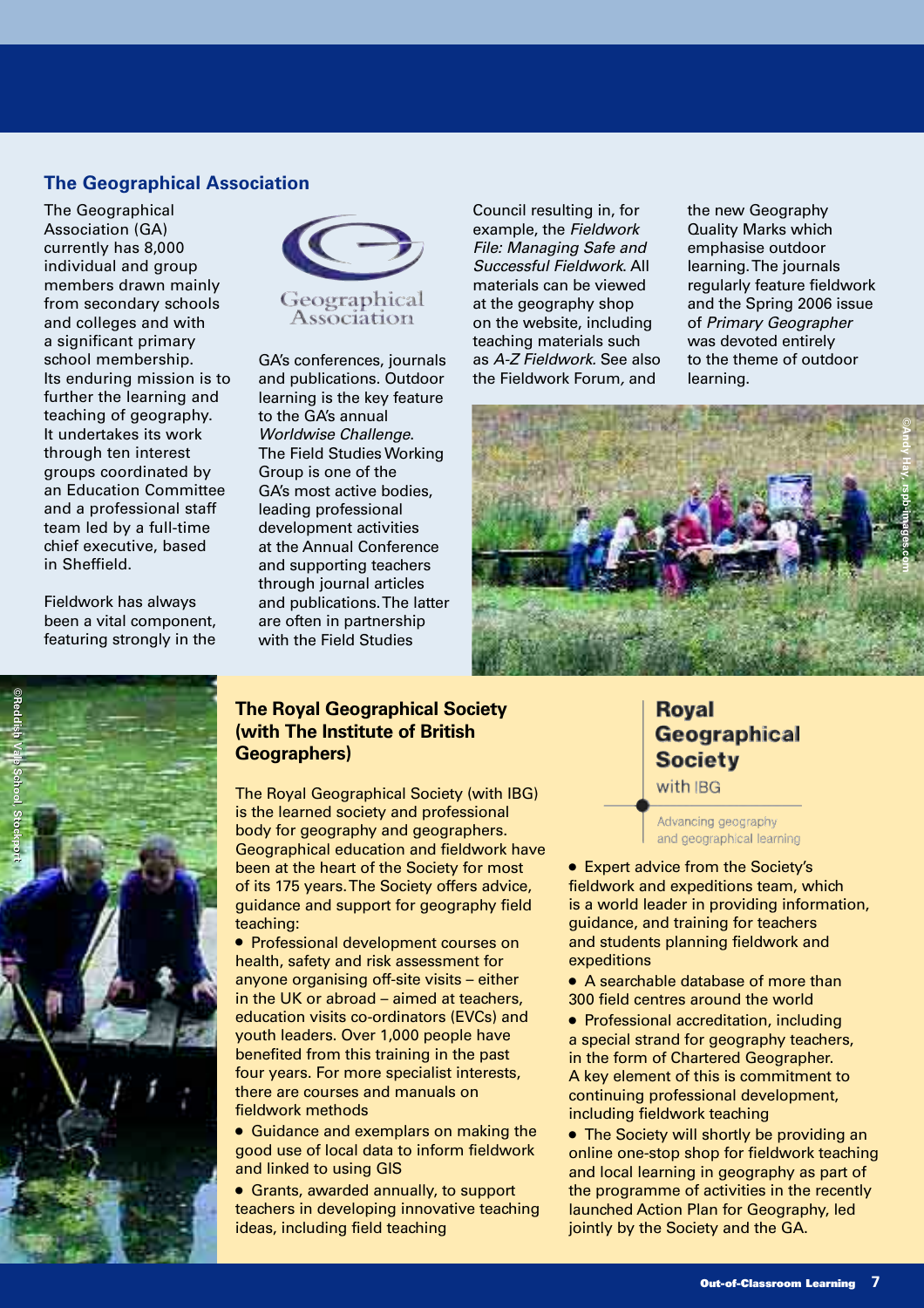## **The Geographical Association**

The Geographical Association (GA) currently has 8,000 individual and group members drawn mainly from secondary schools and colleges and with a significant primary school membership. Its enduring mission is to further the learning and teaching of geography. It undertakes its work through ten interest groups coordinated by an Education Committee and a professional staff team led by a full-time chief executive, based in Sheffield.

Fieldwork has always been a vital component, featuring strongly in the



GA's conferences, journals and publications. Outdoor learning is the key feature to the GA's annual Worldwise Challenge. The Field Studies Working Group is one of the GA's most active bodies, leading professional development activities at the Annual Conference and supporting teachers through journal articles and publications. The latter are often in partnership with the Field Studies

Council resulting in, for example, the Fieldwork File: Managing Safe and Successful Fieldwork. All materials can be viewed at the geography shop on the website, including teaching materials such as A-Z Fieldwork. See also the Fieldwork Forum, and

the new Geography Quality Marks which emphasise outdoor learning. The journals regularly feature fieldwork and the Spring 2006 issue of Primary Geographer was devoted entirely to the theme of outdoor learning.





## **The Royal Geographical Society (with The Institute of British Geographers)**

The Royal Geographical Society (with IBG) is the learned society and professional body for geography and geographers. Geographical education and fieldwork have been at the heart of the Society for most of its 175 years. The Society offers advice, guidance and support for geography field teaching:

● Professional development courses on health, safety and risk assessment for anyone organising off-site visits – either in the UK or abroad – aimed at teachers, education visits co-ordinators (EVCs) and youth leaders. Over 1,000 people have benefited from this training in the past four years. For more specialist interests, there are courses and manuals on fieldwork methods

● Guidance and exemplars on making the good use of local data to inform fieldwork and linked to using GIS

● Grants, awarded annually, to support teachers in developing innovative teaching ideas, including field teaching

**Roval** Geographical **Society** with IBG

Advancing geography and geographical learning

● Expert advice from the Society's fieldwork and expeditions team, which is a world leader in providing information, guidance, and training for teachers and students planning fieldwork and expeditions

● A searchable database of more than 300 field centres around the world

● Professional accreditation, including a special strand for geography teachers, in the form of Chartered Geographer. A key element of this is commitment to continuing professional development, including fieldwork teaching

• The Society will shortly be providing an online one-stop shop for fieldwork teaching and local learning in geography as part of the programme of activities in the recently launched Action Plan for Geography, led jointly by the Society and the GA.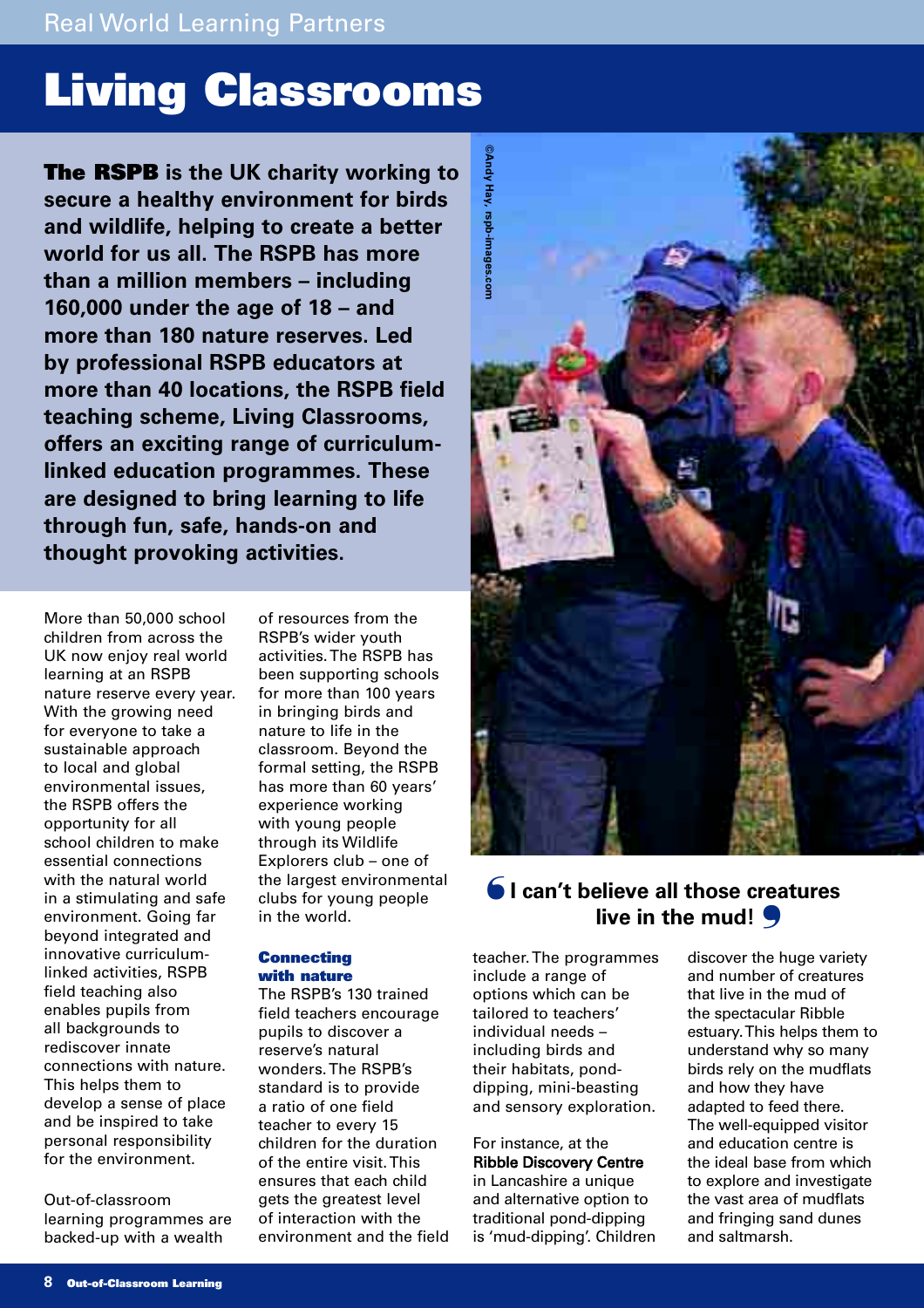## **Living Classrooms**

**The RSPB is the UK charity working to secure a healthy environment for birds and wildlife, helping to create a better world for us all. The RSPB has more than a million members – including 160,000 under the age of 18 – and more than 180 nature reserves. Led by professional RSPB educators at more than 40 locations, the RSPB field teaching scheme, Living Classrooms, offers an exciting range of curriculumlinked education programmes. These are designed to bring learning to life through fun, safe, hands-on and thought provoking activities.** 

More than 50,000 school children from across the UK now enjoy real world learning at an RSPB nature reserve every year. With the growing need for everyone to take a sustainable approach to local and global environmental issues, the RSPB offers the opportunity for all school children to make essential connections with the natural world in a stimulating and safe environment. Going far beyond integrated and innovative curriculumlinked activities, RSPB field teaching also enables pupils from all backgrounds to rediscover innate connections with nature. This helps them to develop a sense of place and be inspired to take personal responsibility for the environment.

Out-of-classroom learning programmes are backed-up with a wealth

of resources from the RSPB's wider youth activities. The RSPB has been supporting schools for more than 100 years in bringing birds and nature to life in the classroom. Beyond the formal setting, the RSPB has more than 60 years' experience working with young people through its Wildlife Explorers club – one of the largest environmental clubs for young people in the world.

#### **Connecting with nature**

The RSPB's 130 trained field teachers encourage pupils to discover a reserve's natural wonders. The RSPB's standard is to provide a ratio of one field teacher to every 15 children for the duration of the entire visit. This ensures that each child gets the greatest level of interaction with the environment and the field



## $\bigcirc$  I can't believe all those creatures **live in the mud!** ❜

teacher. The programmes include a range of options which can be tailored to teachers' individual needs – including birds and their habitats, ponddipping, mini-beasting and sensory exploration.

### For instance, at the Ribble Discovery Centre in Lancashire a unique and alternative option to traditional pond-dipping is 'mud-dipping'. Children

discover the huge variety and number of creatures that live in the mud of the spectacular Ribble estuary. This helps them to understand why so many birds rely on the mudflats and how they have adapted to feed there. The well-equipped visitor and education centre is the ideal base from which to explore and investigate the vast area of mudflats and fringing sand dunes and saltmarsh.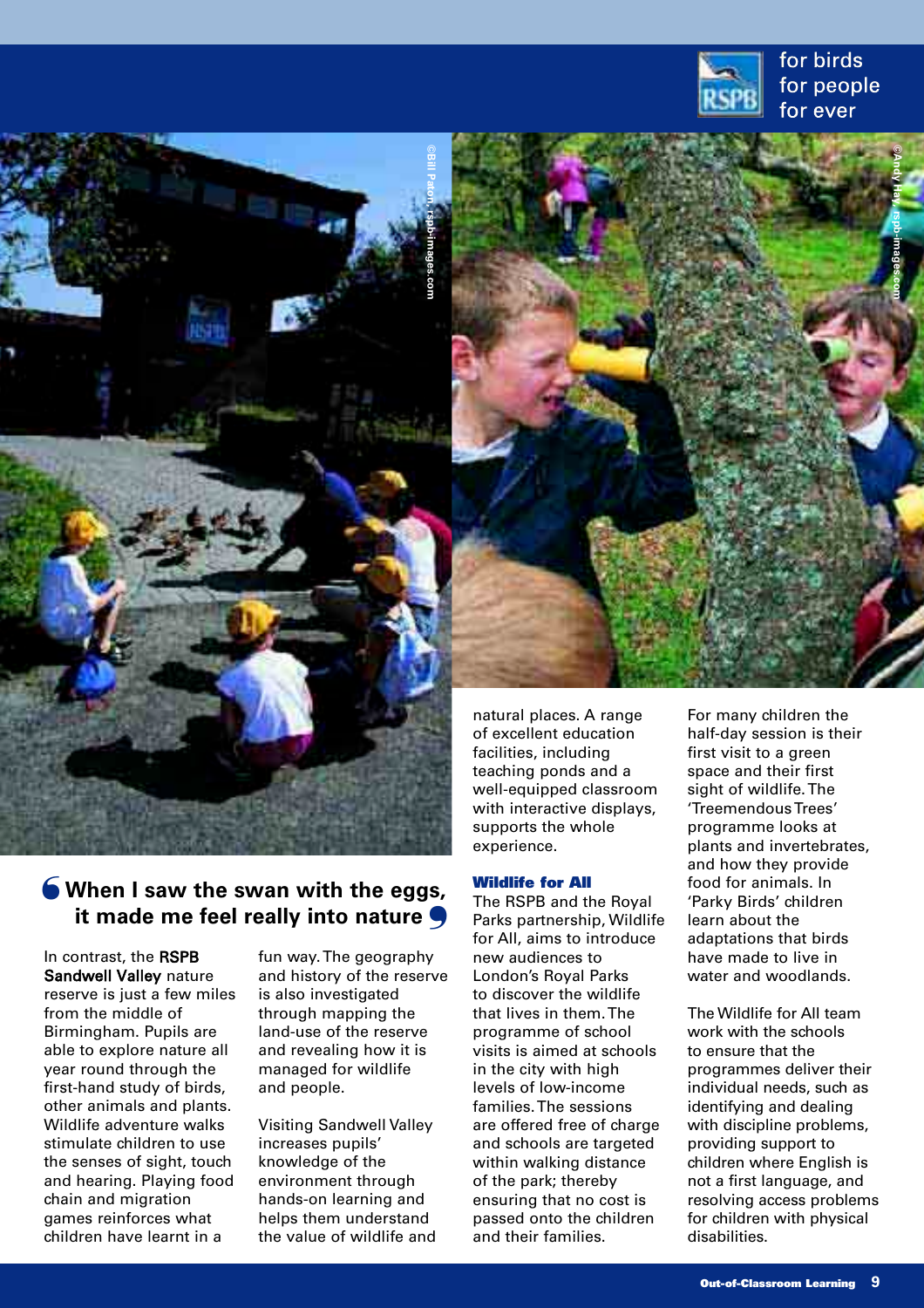



## **When I saw the swan with the eggs,**  ❛ **it made me feel really into nature**

In contrast, the RSPB Sandwell Valley nature reserve is just a few miles from the middle of Birmingham. Pupils are able to explore nature all year round through the first-hand study of birds, other animals and plants. Wildlife adventure walks stimulate children to use the senses of sight, touch and hearing. Playing food chain and migration games reinforces what children have learnt in a

fun way. The geography and history of the reserve is also investigated through mapping the land-use of the reserve and revealing how it is managed for wildlife and people.

Visiting Sandwell Valley increases pupils' knowledge of the environment through hands-on learning and helps them understand the value of wildlife and with interactive displays, supports the whole experience.

#### **Wildlife for All**

The RSPB and the Royal Parks partnership, Wildlife for All, aims to introduce new audiences to London's Royal Parks to discover the wildlife that lives in them. The programme of school visits is aimed at schools in the city with high levels of low-income families. The sessions are offered free of charge and schools are targeted within walking distance of the park; thereby ensuring that no cost is passed onto the children and their families.

'Treemendous Trees' programme looks at plants and invertebrates, and how they provide food for animals. In 'Parky Birds' children learn about the adaptations that birds have made to live in water and woodlands.

The Wildlife for All team work with the schools to ensure that the programmes deliver their individual needs, such as identifying and dealing with discipline problems, providing support to children where English is not a first language, and resolving access problems for children with physical disabilities.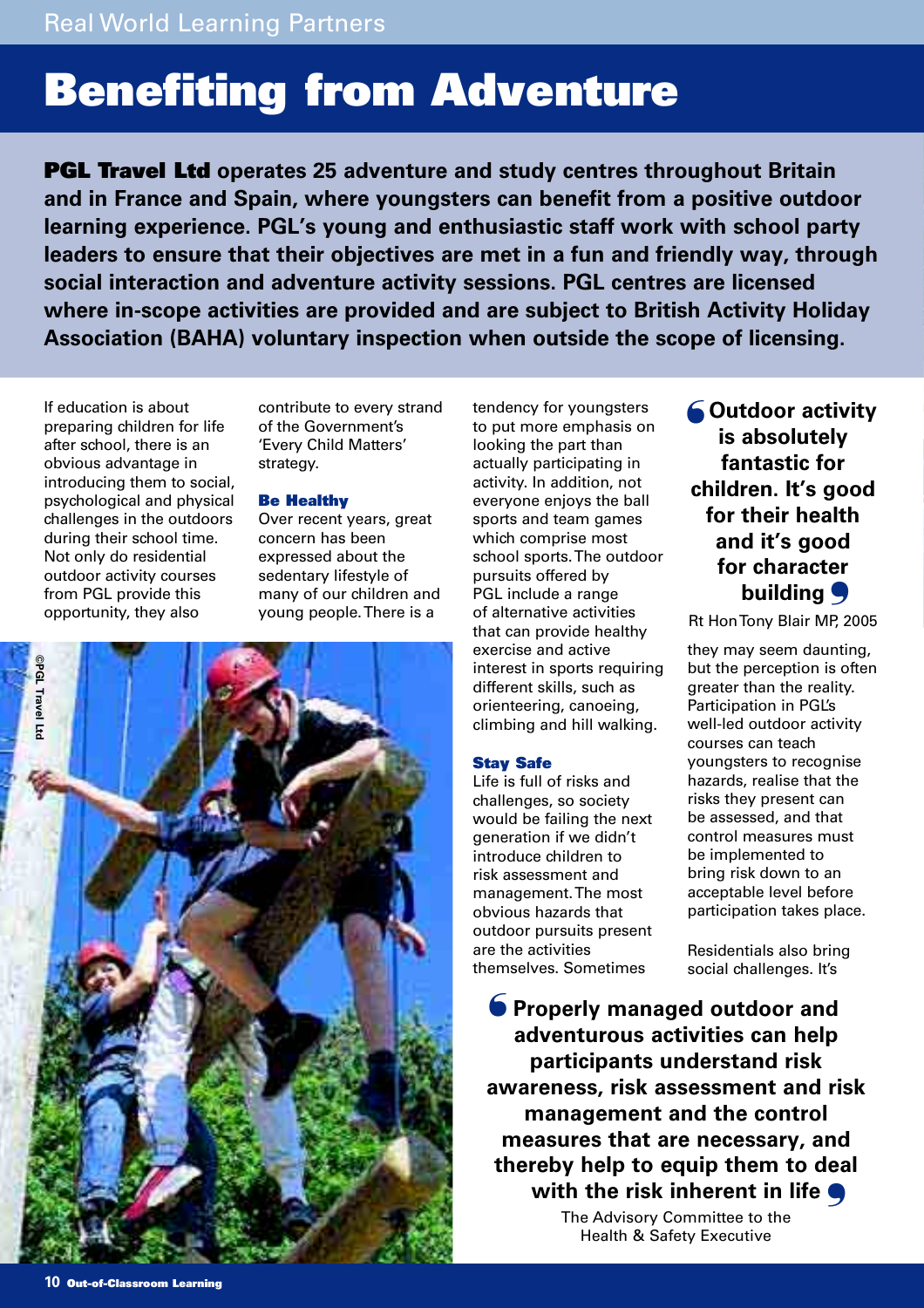## **Benefiting from Adventure**

**PGL Travel Ltd operates 25 adventure and study centres throughout Britain and in France and Spain, where youngsters can benefit from a positive outdoor learning experience. PGL's young and enthusiastic staff work with school party leaders to ensure that their objectives are met in a fun and friendly way, through social interaction and adventure activity sessions. PGL centres are licensed where in-scope activities are provided and are subject to British Activity Holiday Association (BAHA) voluntary inspection when outside the scope of licensing.** 

If education is about preparing children for life after school, there is an obvious advantage in introducing them to social, psychological and physical challenges in the outdoors during their school time. Not only do residential outdoor activity courses from PGL provide this opportunity, they also

contribute to every strand of the Government's 'Every Child Matters' strategy.

#### **Be Healthy**

Over recent years, great concern has been expressed about the sedentary lifestyle of many of our children and young people. There is a



tendency for youngsters to put more emphasis on looking the part than actually participating in activity. In addition, not everyone enjoys the ball sports and team games which comprise most school sports. The outdoor pursuits offered by PGL include a range of alternative activities that can provide healthy exercise and active interest in sports requiring different skills, such as orienteering, canoeing, climbing and hill walking.

#### **Stay Safe**

Life is full of risks and challenges, so society would be failing the next generation if we didn't introduce children to risk assessment and management. The most obvious hazards that outdoor pursuits present are the activities themselves. Sometimes

**Outdoor activity** ❛ **is absolutely fantastic for children. It's good for their health and it's good for character** building 9

Rt Hon Tony Blair MP, 2005

they may seem daunting, but the perception is often greater than the reality. Participation in PGL's well-led outdoor activity courses can teach youngsters to recognise hazards, realise that the risks they present can be assessed, and that control measures must be implemented to bring risk down to an acceptable level before participation takes place.

Residentials also bring social challenges. It's

**Properly managed outdoor and** ❛ **adventurous activities can help participants understand risk awareness, risk assessment and risk management and the control measures that are necessary, and thereby help to equip them to deal** with the risk inherent in life **S** 

The Advisory Committee to the Health & Safety Executive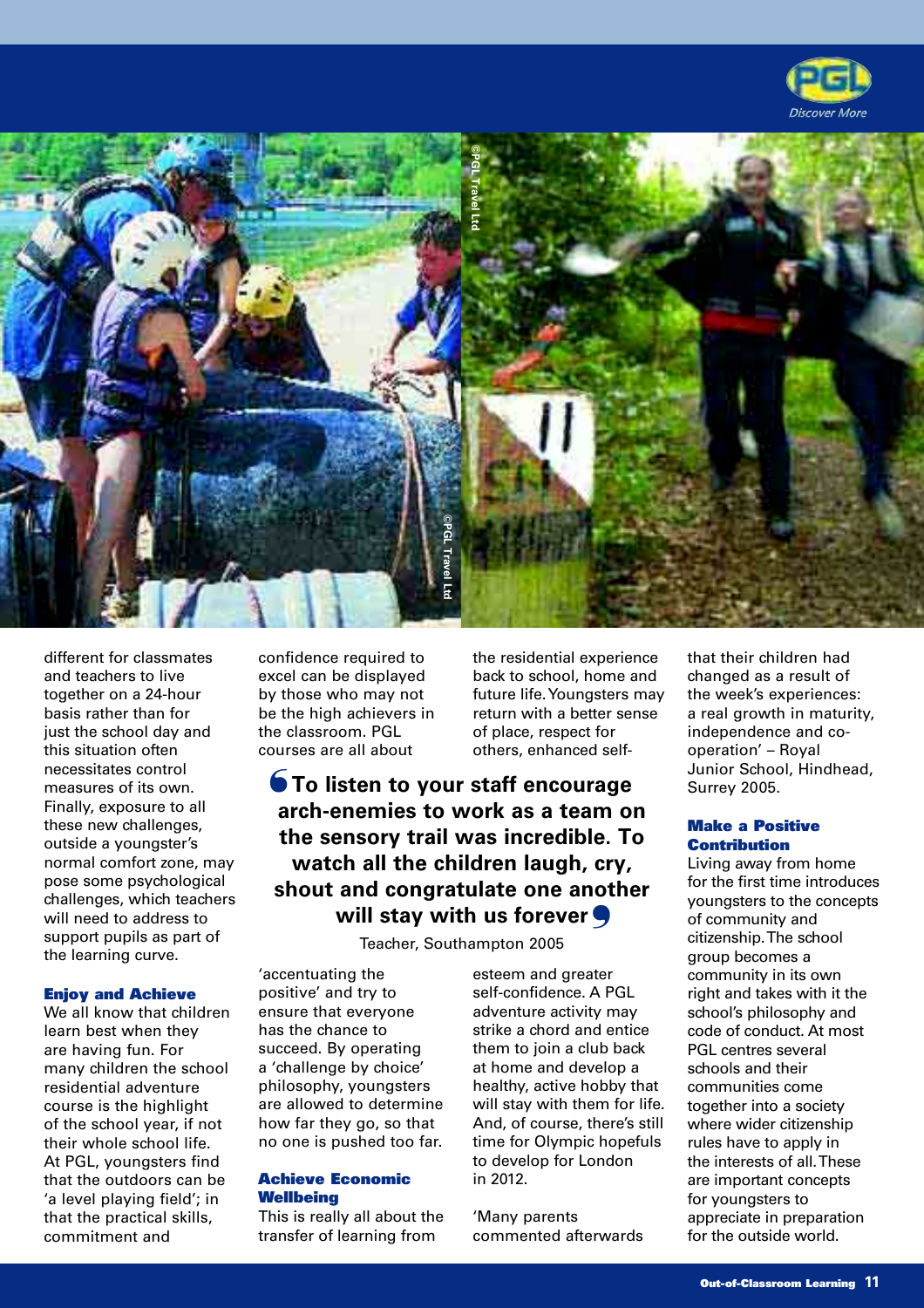



different for classmates and teachers to live together on a 24-hour basis rather than for just the school day and this situation often necessitates control measures of its own. Finally, exposure to all these new challenges, outside a youngster's normal comfort zone, may pose some psychological challenges, which teachers will need to address to support pupils as part of the learning curve.

### **Enjoy and Achieve**

We all know that children learn best when they are having fun. For many children the school residential adventure course is the highlight of the school year, if not their whole school life. At PGL, youngsters find that the outdoors can be 'a level playing field'; in that the practical skills, commitment and

confidence required to excel can be displayed by those who may not be the high achievers in the classroom. PGL courses are all about

**To listen to your staff encourage** ❛ **arch-enemies to work as a team on the sensory trail was incredible. To watch all the children laugh, cry, shout and congratulate one another will stay with us forever** ❜

Teacher, Southampton 2005

'accentuating the positive' and try to ensure that everyone has the chance to succeed. By operating a 'challenge by choice' philosophy, youngsters are allowed to determine how far they go, so that no one is pushed too far.

### **Achieve Economic Wellbeing**

This is really all about the transfer of learning from

esteem and greater self-confidence. A PGL adventure activity may strike a chord and entice them to join a club back at home and develop a healthy, active hobby that will stay with them for life. And, of course, there's still time for Olympic hopefuls to develop for London in 2012.

the residential experience back to school, home and future life. Youngsters may return with a better sense of place, respect for others, enhanced self-

'Many parents commented afterwards that their children had changed as a result of the week's experiences: a real growth in maturity, independence and cooperation' – Royal Junior School, Hindhead, Surrey 2005.

### **Make a Positive Contribution**

Living away from home for the first time introduces youngsters to the concepts of community and citizenship. The school group becomes a community in its own right and takes with it the school's philosophy and code of conduct. At most PGL centres several schools and their communities come together into a society where wider citizenship rules have to apply in the interests of all. These are important concepts for youngsters to appreciate in preparation for the outside world.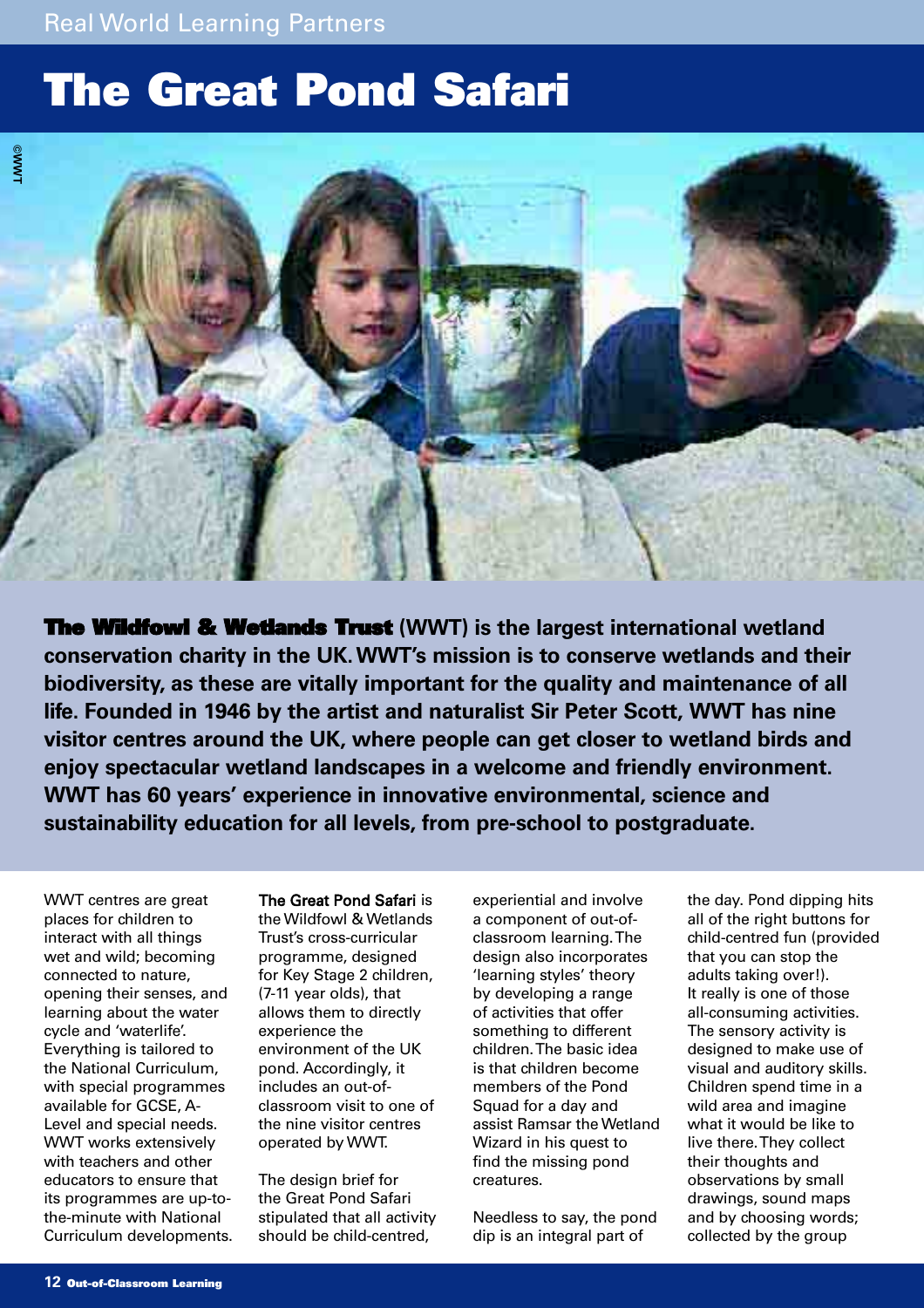## **The Great Pond Safari**



**The Wildfowl & Wetlands Trust (WWT) is the largest international wetland conservation charity in the UK.WWT's mission is to conserve wetlands and their biodiversity, as these are vitally important for the quality and maintenance of all life. Founded in 1946 by the artist and naturalist Sir Peter Scott, WWT has nine visitor centres around the UK, where people can get closer to wetland birds and enjoy spectacular wetland landscapes in a welcome and friendly environment. WWT has 60 years' experience in innovative environmental, science and sustainability education for all levels, from pre-school to postgraduate.**

WWT centres are great places for children to interact with all things wet and wild; becoming connected to nature, opening their senses, and learning about the water cycle and 'waterlife'. Everything is tailored to the National Curriculum, with special programmes available for GCSE, A-Level and special needs. WWT works extensively with teachers and other educators to ensure that its programmes are up-tothe-minute with National Curriculum developments. The Great Pond Safari is

the Wildfowl & Wetlands Trust's cross-curricular programme, designed for Key Stage 2 children, (7-11 year olds), that allows them to directly experience the environment of the UK pond. Accordingly, it includes an out-ofclassroom visit to one of the nine visitor centres operated by WWT.

The design brief for the Great Pond Safari stipulated that all activity should be child-centred,

experiential and involve a component of out-ofclassroom learning. The design also incorporates 'learning styles' theory by developing a range of activities that offer something to different children. The basic idea is that children become members of the Pond Squad for a day and assist Ramsar the Wetland Wizard in his quest to find the missing pond creatures.

Needless to say, the pond dip is an integral part of

the day. Pond dipping hits all of the right buttons for child-centred fun (provided that you can stop the adults taking over!). It really is one of those all-consuming activities. The sensory activity is designed to make use of visual and auditory skills. Children spend time in a wild area and imagine what it would be like to live there. They collect their thoughts and observations by small drawings, sound maps and by choosing words; collected by the group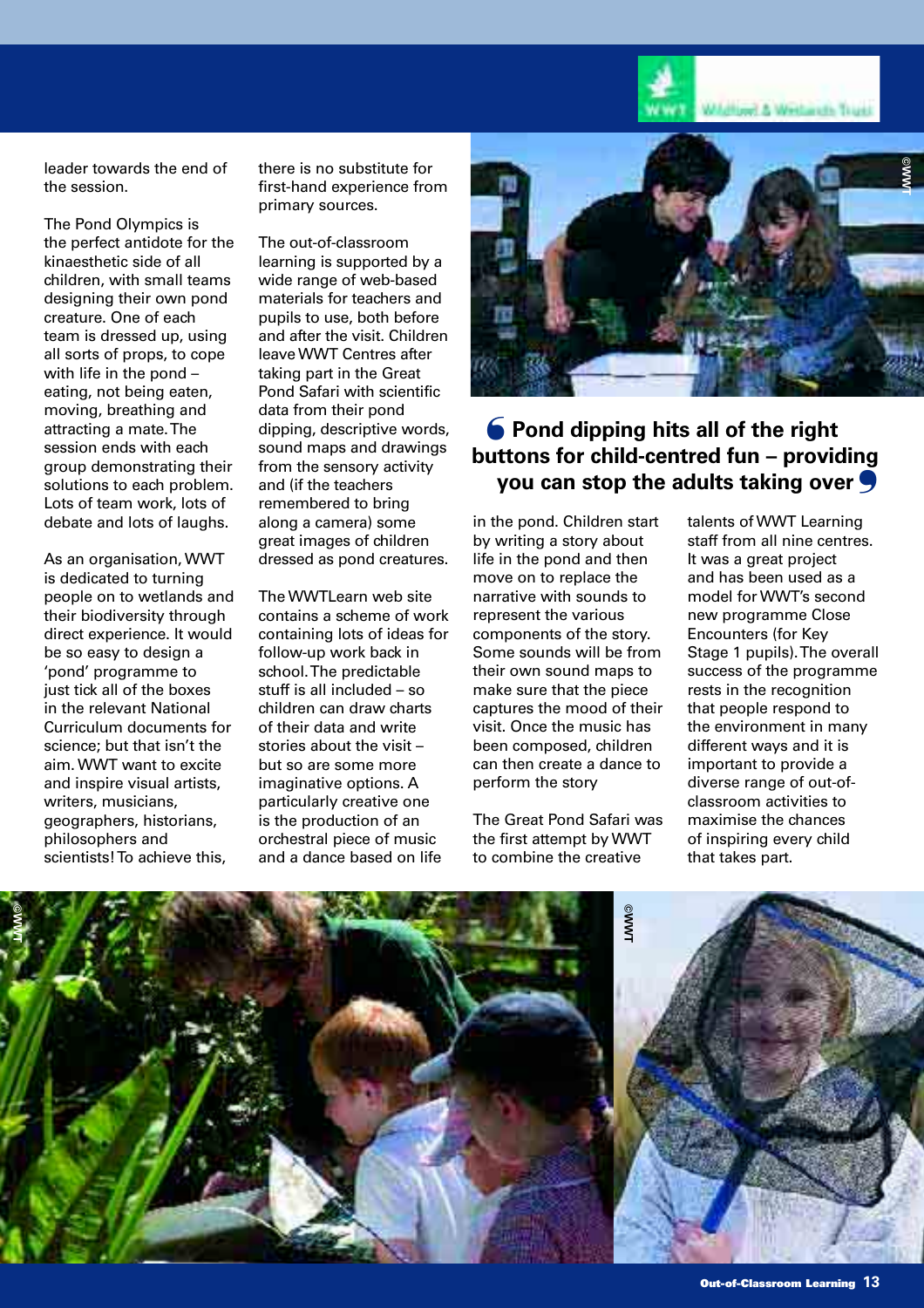

leader towards the end of the session.

The Pond Olympics is the perfect antidote for the kinaesthetic side of all children, with small teams designing their own pond creature. One of each team is dressed up, using all sorts of props, to cope with life in the pond – eating, not being eaten, moving, breathing and attracting a mate. The session ends with each group demonstrating their solutions to each problem. Lots of team work, lots of debate and lots of laughs.

As an organisation, WWT is dedicated to turning people on to wetlands and their biodiversity through direct experience. It would be so easy to design a 'pond' programme to just tick all of the boxes in the relevant National Curriculum documents for science; but that isn't the aim. WWT want to excite and inspire visual artists, writers, musicians, geographers, historians, philosophers and scientists! To achieve this,

there is no substitute for first-hand experience from primary sources.

The out-of-classroom learning is supported by a wide range of web-based materials for teachers and pupils to use, both before and after the visit. Children leave WWT Centres after taking part in the Great Pond Safari with scientific data from their pond dipping, descriptive words, sound maps and drawings from the sensory activity and (if the teachers remembered to bring along a camera) some great images of children dressed as pond creatures.

The WWTLearn web site contains a scheme of work containing lots of ideas for follow-up work back in school. The predictable stuff is all included – so children can draw charts of their data and write stories about the visit – but so are some more imaginative options. A particularly creative one is the production of an orchestral piece of music and a dance based on life



## **Pond dipping hits all of the right** ❛ **buttons for child-centred fun – providing you can stop the adults taking over** ❜

in the pond. Children start by writing a story about life in the pond and then move on to replace the narrative with sounds to represent the various components of the story. Some sounds will be from their own sound maps to make sure that the piece captures the mood of their visit. Once the music has been composed, children can then create a dance to perform the story

The Great Pond Safari was the first attempt by WWT to combine the creative

talents of WWT Learning staff from all nine centres. It was a great project and has been used as a model for WWT's second new programme Close Encounters (for Key Stage 1 pupils). The overall success of the programme rests in the recognition that people respond to the environment in many different ways and it is important to provide a diverse range of out-ofclassroom activities to maximise the chances of inspiring every child that takes part.

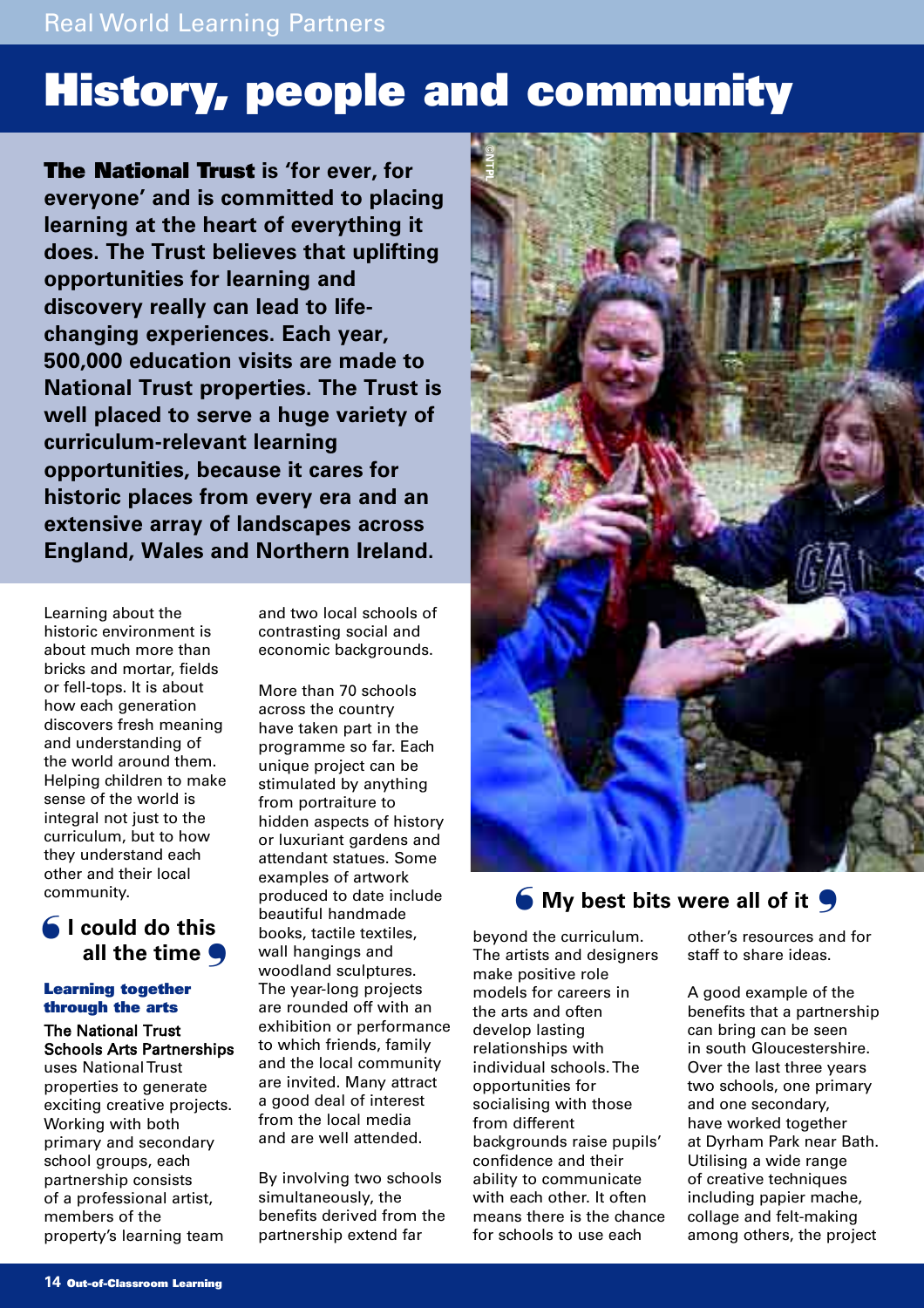## **History, people and community**

**The National Trust is 'for ever, for everyone' and is committed to placing learning at the heart of everything it does. The Trust believes that uplifting opportunities for learning and discovery really can lead to lifechanging experiences. Each year, 500,000 education visits are made to National Trust properties. The Trust is well placed to serve a huge variety of curriculum-relevant learning opportunities, because it cares for historic places from every era and an extensive array of landscapes across England, Wales and Northern Ireland.** 

Learning about the historic environment is about much more than bricks and mortar, fields or fell-tops. It is about how each generation discovers fresh meaning and understanding of the world around them. Helping children to make sense of the world is integral not just to the curriculum, but to how they understand each other and their local community.

## **I could do this**  ❛ **all the time** ❜

### **Learning together through the arts**

## The National Trust Schools Arts Partnerships

uses National Trust properties to generate exciting creative projects. Working with both primary and secondary school groups, each partnership consists of a professional artist, members of the property's learning team

and two local schools of contrasting social and economic backgrounds.

More than 70 schools across the country have taken part in the programme so far. Each unique project can be stimulated by anything from portraiture to hidden aspects of history or luxuriant gardens and attendant statues. Some examples of artwork produced to date include beautiful handmade books, tactile textiles, wall hangings and woodland sculptures. The year-long projects are rounded off with an exhibition or performance to which friends, family and the local community are invited. Many attract a good deal of interest from the local media and are well attended.

By involving two schools simultaneously, the benefits derived from the partnership extend far



## ❛ **My best bits were all of it** ❜

beyond the curriculum. The artists and designers make positive role models for careers in the arts and often develop lasting relationships with individual schools. The opportunities for socialising with those from different backgrounds raise pupils' confidence and their ability to communicate with each other. It often means there is the chance for schools to use each

other's resources and for staff to share ideas.

A good example of the benefits that a partnership can bring can be seen in south Gloucestershire. Over the last three years two schools, one primary and one secondary, have worked together at Dyrham Park near Bath. Utilising a wide range of creative techniques including papier mache, collage and felt-making among others, the project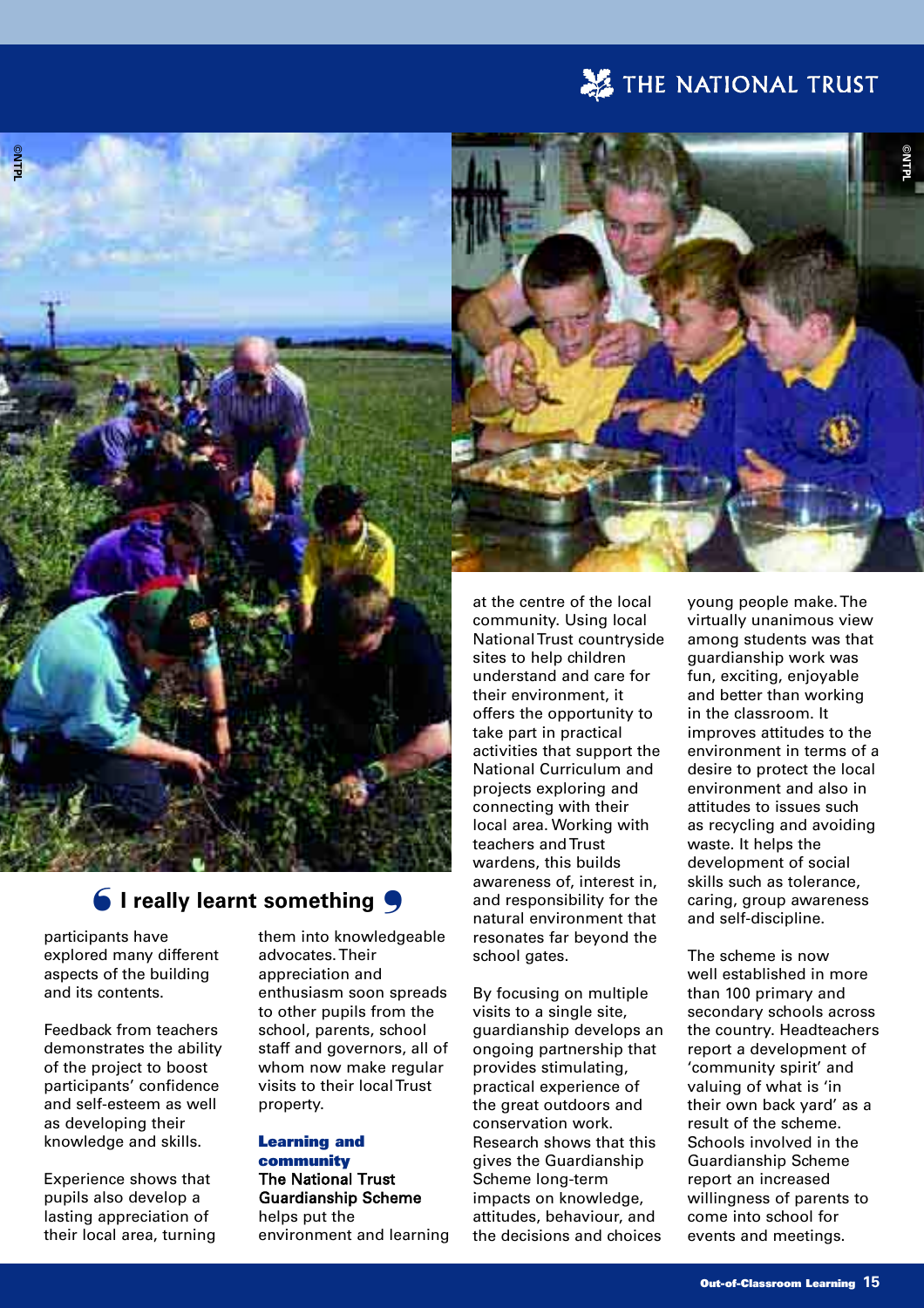## THE NATIONAL TRUST

**©NTPL**



## ❛ **I really learnt something** ❜

participants have explored many different aspects of the building and its contents.

Feedback from teachers demonstrates the ability of the project to boost participants' confidence and self-esteem as well as developing their knowledge and skills.

Experience shows that pupils also develop a lasting appreciation of their local area, turning them into knowledgeable advocates. Their appreciation and enthusiasm soon spreads to other pupils from the school, parents, school staff and governors, all of whom now make regular visits to their local Trust property.

#### **Learning and community**

The National Trust Guardianship Scheme helps put the environment and learning

at the centre of the local community. Using local National Trust countryside sites to help children understand and care for their environment, it offers the opportunity to take part in practical activities that support the National Curriculum and projects exploring and connecting with their local area. Working with teachers and Trust wardens, this builds awareness of, interest in, and responsibility for the natural environment that resonates far beyond the school gates.

By focusing on multiple visits to a single site, guardianship develops an ongoing partnership that provides stimulating, practical experience of the great outdoors and conservation work. Research shows that this gives the Guardianship Scheme long-term impacts on knowledge, attitudes, behaviour, and the decisions and choices

young people make. The virtually unanimous view among students was that guardianship work was fun, exciting, enjoyable and better than working in the classroom. It improves attitudes to the environment in terms of a desire to protect the local environment and also in attitudes to issues such as recycling and avoiding waste. It helps the development of social skills such as tolerance, caring, group awareness and self-discipline.

The scheme is now well established in more than 100 primary and secondary schools across the country. Headteachers report a development of 'community spirit' and valuing of what is 'in their own back yard' as a result of the scheme. Schools involved in the Guardianship Scheme report an increased willingness of parents to come into school for events and meetings.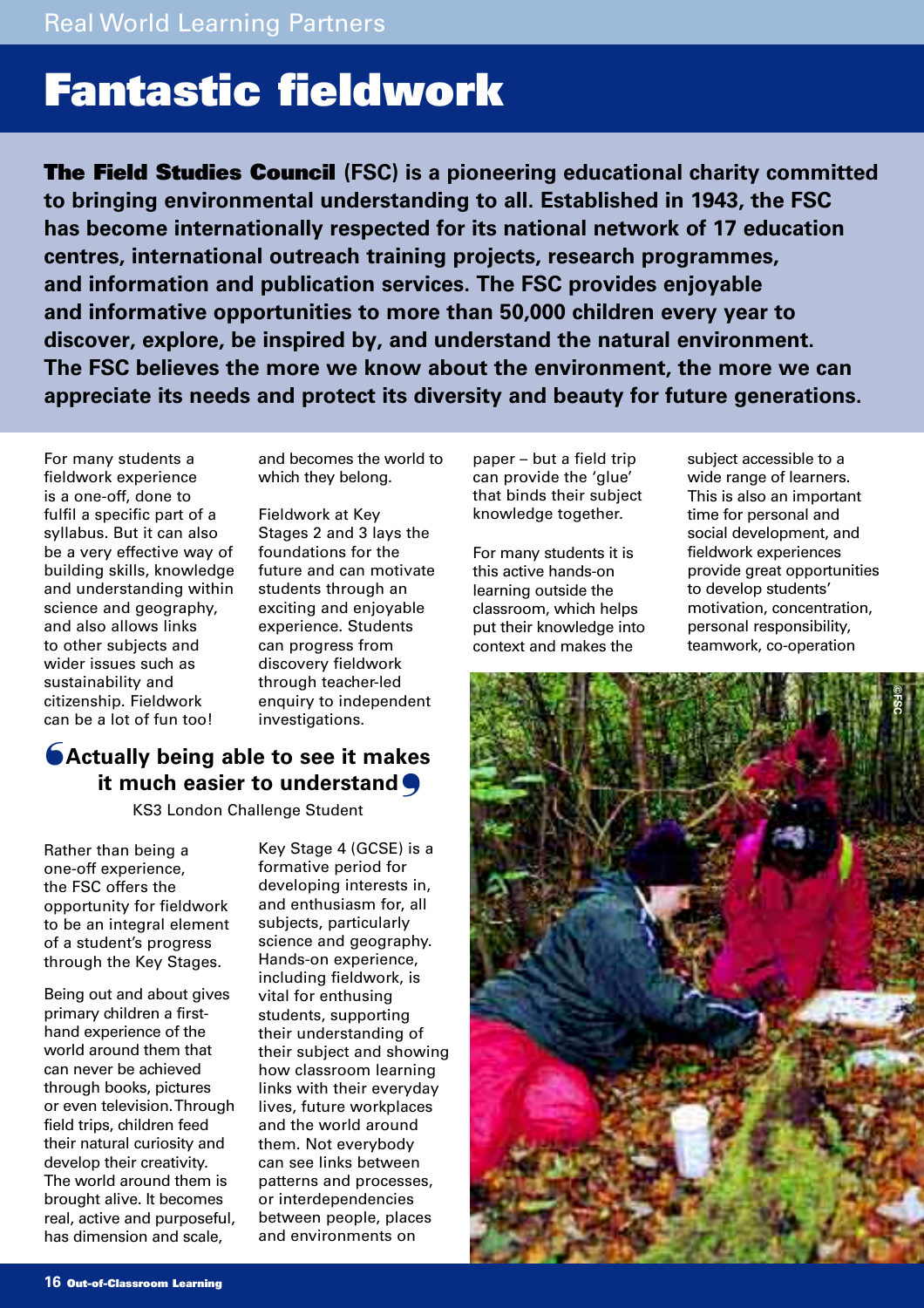## **Fantastic fieldwork**

**The Field Studies Council (FSC) is a pioneering educational charity committed to bringing environmental understanding to all. Established in 1943, the FSC has become internationally respected for its national network of 17 education centres, international outreach training projects, research programmes, and information and publication services. The FSC provides enjoyable and informative opportunities to more than 50,000 children every year to discover, explore, be inspired by, and understand the natural environment. The FSC believes the more we know about the environment, the more we can appreciate its needs and protect its diversity and beauty for future generations.**

For many students a fieldwork experience is a one-off, done to fulfil a specific part of a syllabus. But it can also be a very effective way of building skills, knowledge and understanding within science and geography, and also allows links to other subjects and wider issues such as sustainability and citizenship. Fieldwork can be a lot of fun too!

and becomes the world to which they belong.

Fieldwork at Key Stages 2 and 3 lays the foundations for the future and can motivate students through an exciting and enjoyable experience. Students can progress from discovery fieldwork through teacher-led enquiry to independent investigations.

## **SActually being able to see it makes it much easier to understand**  ❜

KS3 London Challenge Student

Rather than being a one-off experience, the FSC offers the opportunity for fieldwork to be an integral element of a student's progress through the Key Stages.

Being out and about gives primary children a firsthand experience of the world around them that can never be achieved through books, pictures or even television. Through field trips, children feed their natural curiosity and develop their creativity. The world around them is brought alive. It becomes real, active and purposeful, has dimension and scale,

Key Stage 4 (GCSE) is a formative period for developing interests in, and enthusiasm for, all subjects, particularly science and geography. Hands-on experience, including fieldwork, is vital for enthusing students, supporting their understanding of their subject and showing how classroom learning links with their everyday lives, future workplaces and the world around them. Not everybody can see links between patterns and processes, or interdependencies between people, places and environments on

paper – but a field trip can provide the 'glue' that binds their subject knowledge together.

For many students it is this active hands-on learning outside the classroom, which helps put their knowledge into context and makes the

subject accessible to a wide range of learners. This is also an important time for personal and social development, and fieldwork experiences provide great opportunities to develop students' motivation, concentration, personal responsibility, teamwork, co-operation

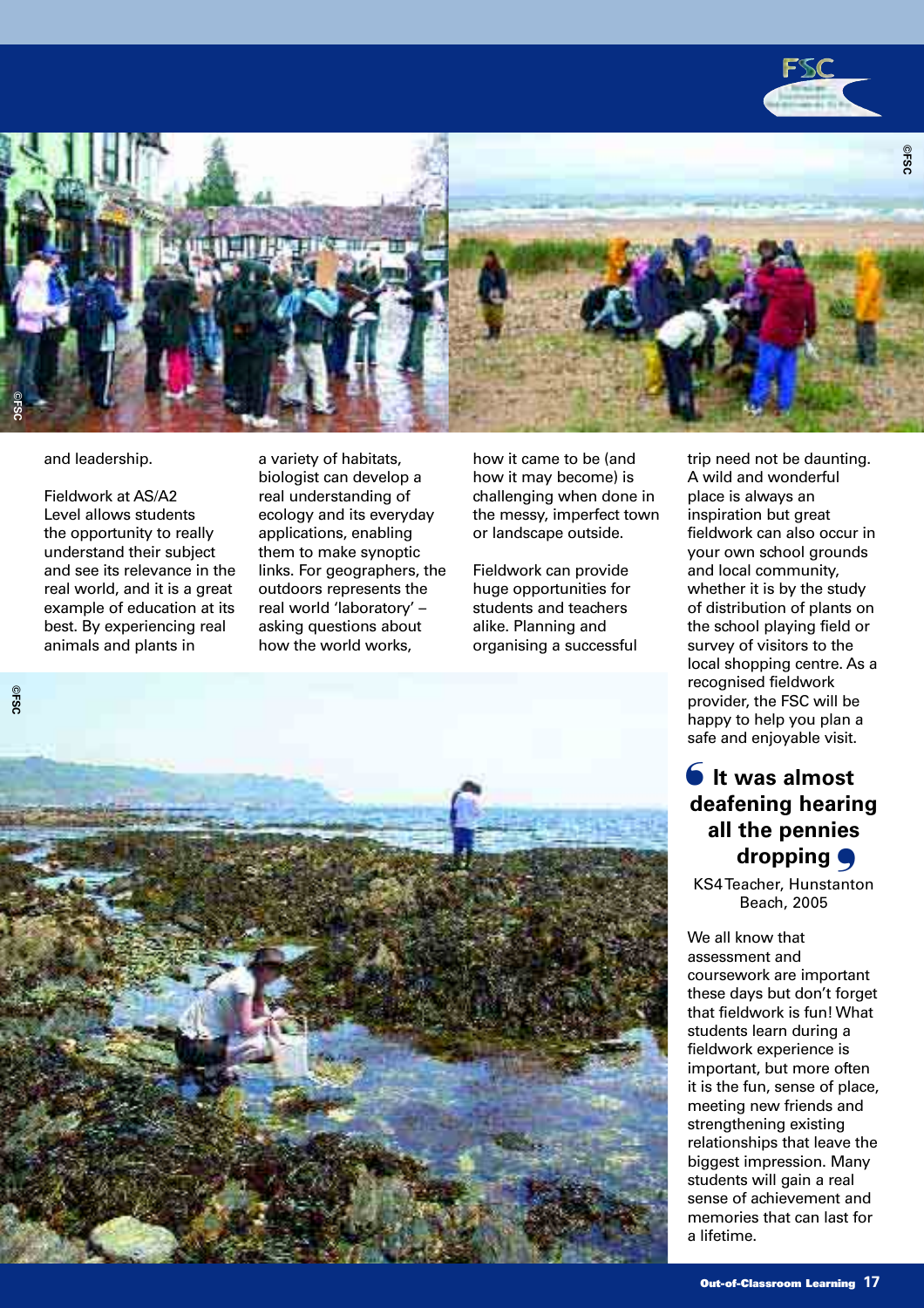



#### and leadership.

Fieldwork at AS/A2 Level allows students the opportunity to really understand their subject and see its relevance in the real world, and it is a great example of education at its best. By experiencing real animals and plants in

a variety of habitats, biologist can develop a real understanding of ecology and its everyday applications, enabling them to make synoptic links. For geographers, the outdoors represents the real world 'laboratory' – asking questions about how the world works,

how it came to be (and how it may become) is challenging when done in the messy, imperfect town or landscape outside.

Fieldwork can provide huge opportunities for students and teachers alike. Planning and organising a successful trip need not be daunting. A wild and wonderful place is always an inspiration but great fieldwork can also occur in your own school grounds and local community, whether it is by the study of distribution of plants on the school playing field or survey of visitors to the local shopping centre. As a recognised fieldwork provider, the FSC will be happy to help you plan a safe and enjoyable visit.

## **It was almost** ❛ **deafening hearing all the pennies dropping** ❜

KS4 Teacher, Hunstanton Beach, 2005

We all know that assessment and coursework are important these days but don't forget that fieldwork is fun! What students learn during a fieldwork experience is important, but more often it is the fun, sense of place, meeting new friends and strengthening existing relationships that leave the biggest impression. Many students will gain a real sense of achievement and memories that can last for a lifetime.

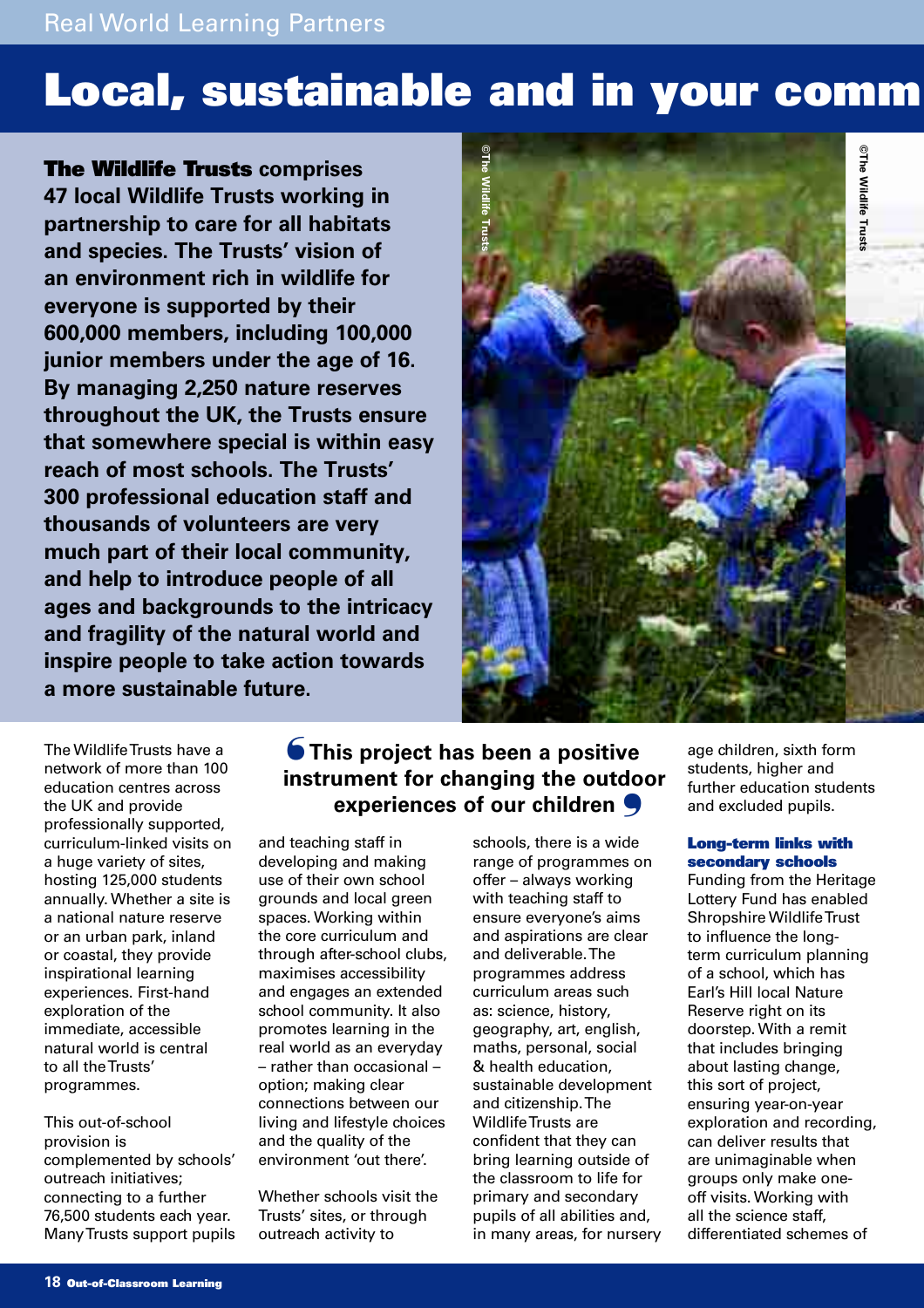Real World Learning Partners

## **Local, sustainable and in your comm**

**The Wildlife Trusts comprises 47 local Wildlife Trusts working in partnership to care for all habitats and species. The Trusts' vision of an environment rich in wildlife for everyone is supported by their 600,000 members, including 100,000 junior members under the age of 16. By managing 2,250 nature reserves throughout the UK, the Trusts ensure that somewhere special is within easy reach of most schools. The Trusts' 300 professional education staff and thousands of volunteers are very much part of their local community, and help to introduce people of all ages and backgrounds to the intricacy and fragility of the natural world and inspire people to take action towards a more sustainable future.**



The Wildlife Trusts have a network of more than 100 education centres across the UK and provide professionally supported, curriculum-linked visits on a huge variety of sites, hosting 125,000 students annually. Whether a site is a national nature reserve or an urban park, inland or coastal, they provide inspirational learning experiences. First-hand exploration of the immediate, accessible natural world is central to all the Trusts' programmes.

This out-of-school provision is complemented by schools' outreach initiatives; connecting to a further 76,500 students each year. Many Trusts support pupils

## **S** This project has been a positive **instrument for changing the outdoor experiences of our children** ❜

and teaching staff in developing and making use of their own school grounds and local green spaces. Working within the core curriculum and through after-school clubs, maximises accessibility and engages an extended school community. It also promotes learning in the real world as an everyday – rather than occasional – option; making clear connections between our living and lifestyle choices and the quality of the environment 'out there'.

Whether schools visit the Trusts' sites, or through outreach activity to

schools, there is a wide range of programmes on offer – always working with teaching staff to ensure everyone's aims and aspirations are clear and deliverable. The programmes address curriculum areas such as: science, history, geography, art, english, maths, personal, social & health education, sustainable development and citizenship. The Wildlife Trusts are confident that they can bring learning outside of the classroom to life for primary and secondary pupils of all abilities and, in many areas, for nursery age children, sixth form students, higher and further education students and excluded pupils.

### **Long-term links with secondary schools**

Funding from the Heritage Lottery Fund has enabled Shropshire Wildlife Trust to influence the longterm curriculum planning of a school, which has Earl's Hill local Nature Reserve right on its doorstep. With a remit that includes bringing about lasting change, this sort of project, ensuring year-on-year exploration and recording, can deliver results that are unimaginable when groups only make oneoff visits. Working with all the science staff, differentiated schemes of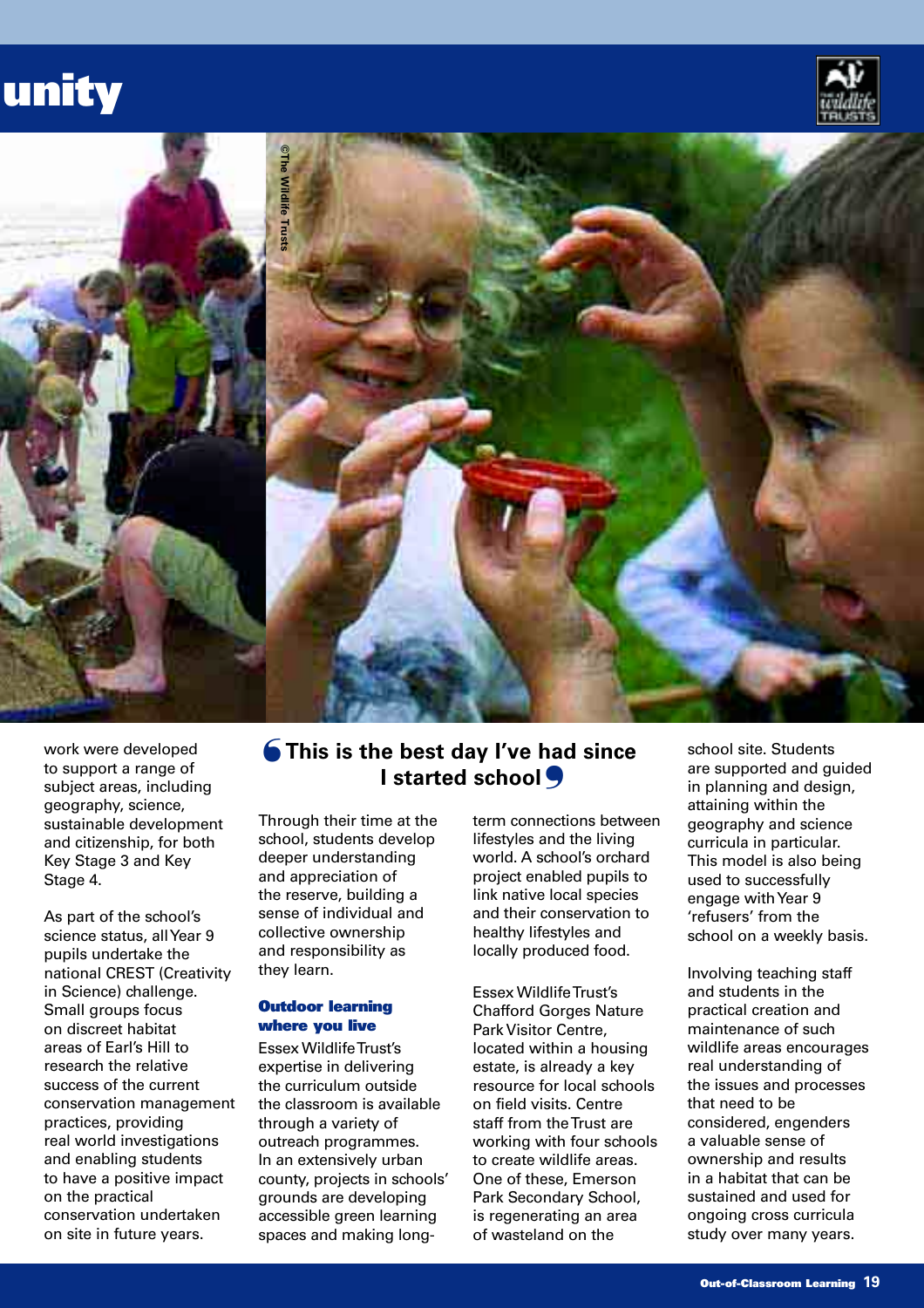## **unity**





work were developed to support a range of subject areas, including geography, science, sustainable development and citizenship, for both Key Stage 3 and Key Stage 4.

As part of the school's science status, all Year 9 pupils undertake the national CREST (Creativity in Science) challenge. Small groups focus on discreet habitat areas of Earl's Hill to research the relative success of the current conservation management practices, providing real world investigations and enabling students to have a positive impact on the practical conservation undertaken on site in future years.

## **This is the best day I've had since**  ❛ **I** started school **S**

Through their time at the school, students develop deeper understanding and appreciation of the reserve, building a sense of individual and collective ownership and responsibility as they learn.

#### **Outdoor learning where you live**

Essex Wildlife Trust's expertise in delivering the curriculum outside the classroom is available through a variety of outreach programmes. In an extensively urban county, projects in schools' grounds are developing accessible green learning spaces and making longterm connections between lifestyles and the living world. A school's orchard project enabled pupils to link native local species and their conservation to healthy lifestyles and locally produced food.

Essex Wildlife Trust's Chafford Gorges Nature Park Visitor Centre, located within a housing estate, is already a key resource for local schools on field visits. Centre staff from the Trust are working with four schools to create wildlife areas. One of these, Emerson Park Secondary School, is regenerating an area of wasteland on the

school site. Students are supported and guided in planning and design, attaining within the geography and science curricula in particular. This model is also being used to successfully engage with Year 9 'refusers' from the school on a weekly basis.

Involving teaching staff and students in the practical creation and maintenance of such wildlife areas encourages real understanding of the issues and processes that need to be considered, engenders a valuable sense of ownership and results in a habitat that can be sustained and used for ongoing cross curricula study over many years.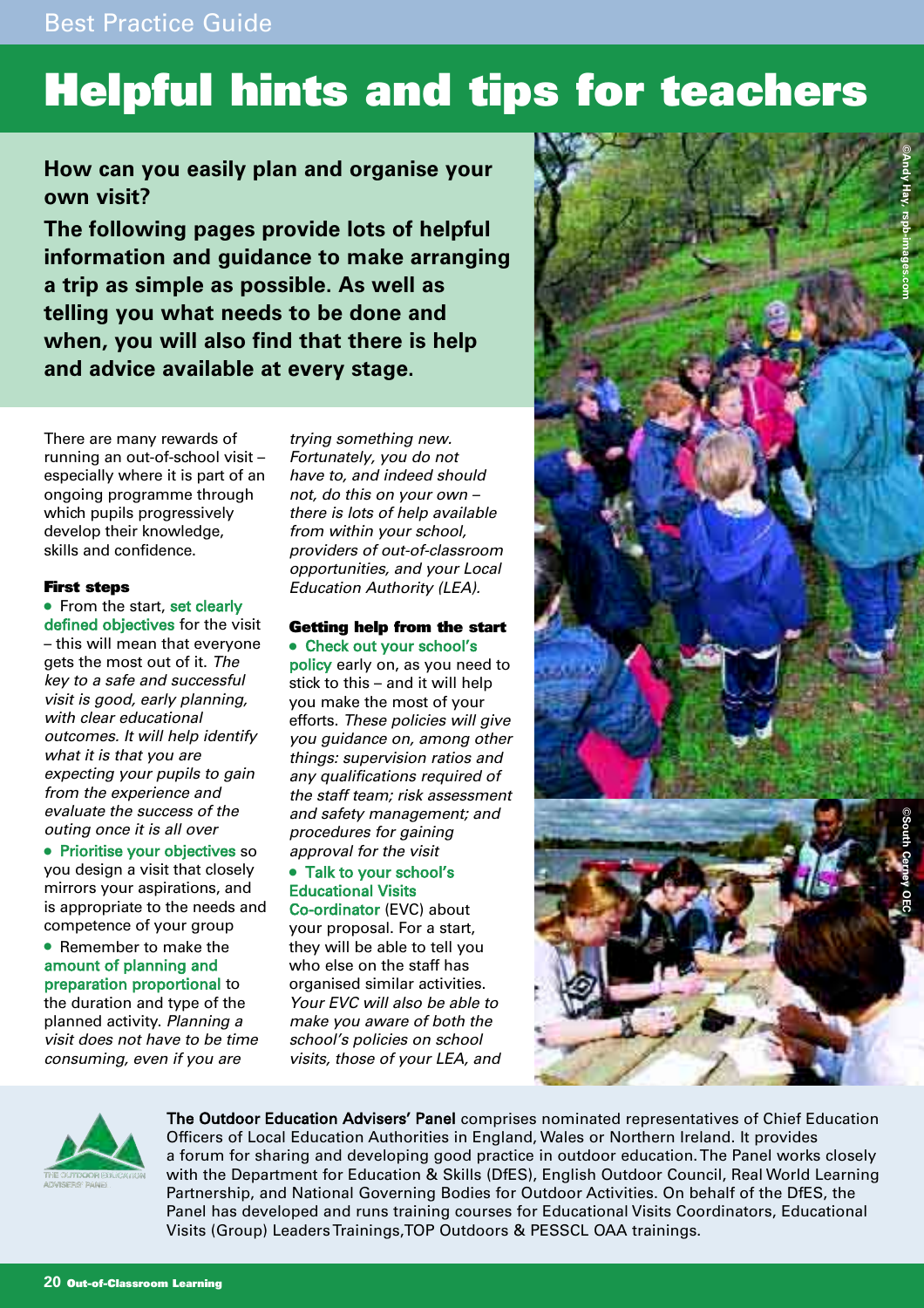## **Helpful hints and tips for teachers**

**How can you easily plan and organise your own visit?**

**The following pages provide lots of helpful information and guidance to make arranging a trip as simple as possible. As well as telling you what needs to be done and when, you will also find that there is help and advice available at every stage.**

There are many rewards of running an out-of-school visit – especially where it is part of an ongoing programme through which pupils progressively develop their knowledge, skills and confidence.

### **First steps**

● From the start, set clearly defined objectives for the visit – this will mean that everyone gets the most out of it. The key to a safe and successful visit is good, early planning, with clear educational outcomes. It will help identify what it is that you are expecting your pupils to gain from the experience and evaluate the success of the outing once it is all over

● Prioritise your objectives so you design a visit that closely mirrors your aspirations, and is appropriate to the needs and competence of your group

● Remember to make the amount of planning and preparation proportional to the duration and type of the planned activity. Planning a visit does not have to be time consuming, even if you are

trying something new. Fortunately, you do not have to, and indeed should not, do this on your own – there is lots of help available from within your school, providers of out-of-classroom opportunities, and your Local Education Authority (LEA).

#### **Getting help from the start** ● Check out your school's

policy early on, as you need to stick to this – and it will help you make the most of your efforts. These policies will give you guidance on, among other things: supervision ratios and any qualifications required of the staff team; risk assessment and safety management; and procedures for gaining approval for the visit

## ● Talk to your school's Educational Visits

Co-ordinator (EVC) about your proposal. For a start, they will be able to tell you who else on the staff has organised similar activities. Your EVC will also be able to make you aware of both the school's policies on school visits, those of your LEA, and





The Outdoor Education Advisers' Panel comprises nominated representatives of Chief Education Officers of Local Education Authorities in England, Wales or Northern Ireland. It provides a forum for sharing and developing good practice in outdoor education. The Panel works closely with the Department for Education & Skills (DfES), English Outdoor Council, Real World Learning Partnership, and National Governing Bodies for Outdoor Activities. On behalf of the DfES, the Panel has developed and runs training courses for Educational Visits Coordinators, Educational Visits (Group) Leaders Trainings,TOP Outdoors & PESSCL OAA trainings.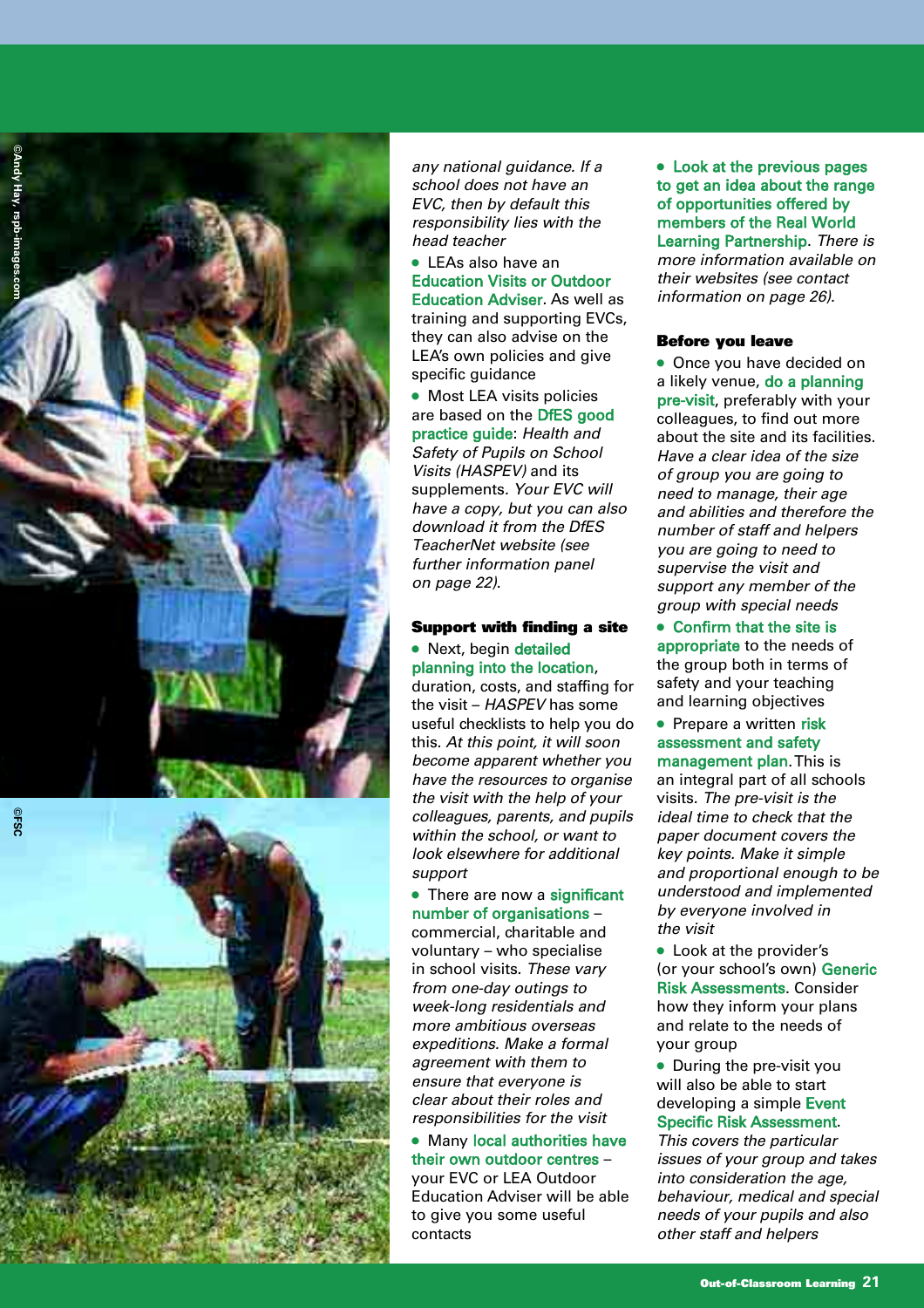



any national guidance. If a school does not have an EVC, then by default this responsibility lies with the head teacher

● LEAs also have an **Education Visits or Outdoor** Education Adviser. As well as training and supporting EVCs, they can also advise on the LEA's own policies and give specific guidance

● Most LEA visits policies are based on the DfES good practice guide: Health and Safety of Pupils on School Visits (HASPEV) and its supplements. Your EVC will have a copy, but you can also download it from the DfES TeacherNet website (see further information panel on page 22).

## **Support with finding a site** • Next, begin detailed

planning into the location, duration, costs, and staffing for the visit - HASPEV has some useful checklists to help you do this. At this point, it will soon become apparent whether you have the resources to organise the visit with the help of your colleagues, parents, and pupils within the school, or want to look elsewhere for additional support

### • There are now a significant number of organisations -

commercial, charitable and voluntary – who specialise in school visits. These vary from one-day outings to week-long residentials and more ambitious overseas expeditions. Make a formal agreement with them to ensure that everyone is clear about their roles and responsibilities for the visit

• Many local authorities have their own outdoor centres – your EVC or LEA Outdoor Education Adviser will be able to give you some useful contacts

• Look at the previous pages to get an idea about the range of opportunities offered by members of the Real World Learning Partnership. There is more information available on their websites (see contact information on page 26).

## **Before you leave**

● Once you have decided on a likely venue, do a planning pre-visit, preferably with your colleagues, to find out more about the site and its facilities. Have a clear idea of the size of group you are going to need to manage, their age and abilities and therefore the number of staff and helpers you are going to need to supervise the visit and support any member of the group with special needs

● Confirm that the site is appropriate to the needs of the group both in terms of safety and your teaching and learning objectives

• Prepare a written risk assessment and safety management plan. This is an integral part of all schools visits. The pre-visit is the ideal time to check that the paper document covers the key points. Make it simple and proportional enough to be understood and implemented by everyone involved in the visit

● Look at the provider's (or your school's own) Generic Risk Assessments. Consider how they inform your plans and relate to the needs of your group

• During the pre-visit you will also be able to start developing a simple Event Specific Risk Assessment.

This covers the particular issues of your group and takes into consideration the age, behaviour, medical and special needs of your pupils and also other staff and helpers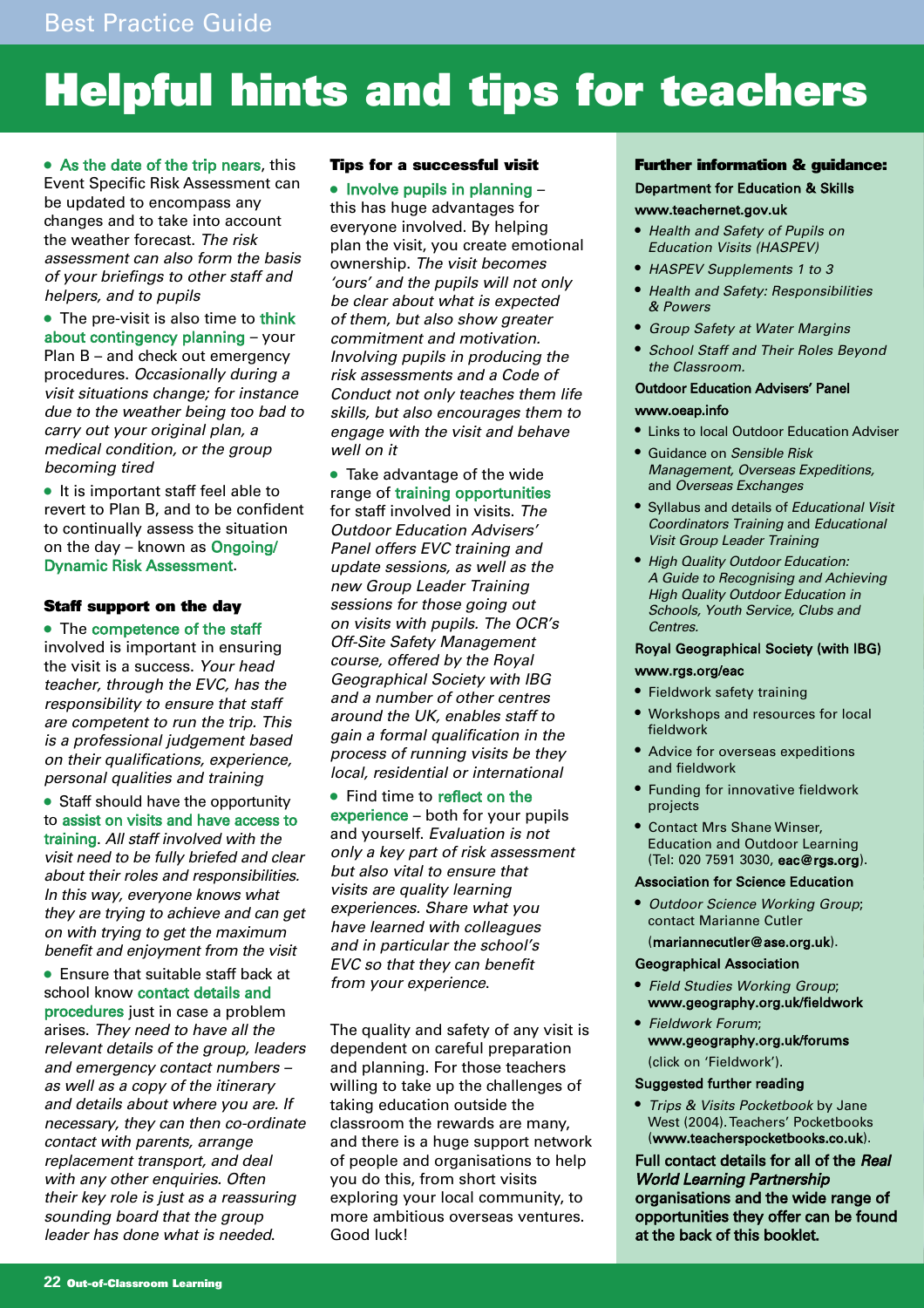## **Helpful hints and tips for teachers**

• As the date of the trip nears, this Event Specific Risk Assessment can be updated to encompass any changes and to take into account the weather forecast. The risk assessment can also form the basis of your briefings to other staff and helpers, and to pupils

• The pre-visit is also time to think about contingency planning – your Plan B – and check out emergency procedures. Occasionally during a visit situations change; for instance due to the weather being too bad to carry out your original plan, a medical condition, or the group becoming tired

● It is important staff feel able to revert to Plan B, and to be confident to continually assess the situation on the day – known as Ongoing/ Dynamic Risk Assessment.

### **Staff support on the day**

● The competence of the staff involved is important in ensuring the visit is a success. Your head teacher, through the EVC, has the responsibility to ensure that staff are competent to run the trip. This is a professional judgement based on their qualifications, experience, personal qualities and training

● Staff should have the opportunity to assist on visits and have access to training. All staff involved with the visit need to be fully briefed and clear about their roles and responsibilities. In this way, everyone knows what they are trying to achieve and can get on with trying to get the maximum benefit and enjoyment from the visit

● Ensure that suitable staff back at school know contact details and procedures just in case a problem arises. They need to have all the relevant details of the group, leaders and emergency contact numbers – as well as a copy of the itinerary and details about where you are. If necessary, they can then co-ordinate contact with parents, arrange replacement transport, and deal with any other enquiries. Often their key role is just as a reassuring sounding board that the group leader has done what is needed.

### **Tips for a successful visit**

## ● Involve pupils in planning –

this has huge advantages for everyone involved. By helping plan the visit, you create emotional ownership. The visit becomes 'ours' and the pupils will not only be clear about what is expected of them, but also show greater commitment and motivation. Involving pupils in producing the risk assessments and a Code of Conduct not only teaches them life skills, but also encourages them to engage with the visit and behave well on it

● Take advantage of the wide range of training opportunities for staff involved in visits. The Outdoor Education Advisers' Panel offers EVC training and update sessions, as well as the new Group Leader Training sessions for those going out on visits with pupils. The OCR's Off-Site Safety Management course, offered by the Royal Geographical Society with IBG and a number of other centres around the UK, enables staff to gain a formal qualification in the process of running visits be they local, residential or international

● Find time to reflect on the experience – both for your pupils and yourself. Evaluation is not only a key part of risk assessment but also vital to ensure that visits are quality learning experiences. Share what you have learned with colleagues and in particular the school's EVC so that they can benefit from your experience.

The quality and safety of any visit is dependent on careful preparation and planning. For those teachers willing to take up the challenges of taking education outside the classroom the rewards are many, and there is a huge support network of people and organisations to help you do this, from short visits exploring your local community, to more ambitious overseas ventures. Good luck!

## **Further information & guidance:** Department for Education & Skills

## www.teachernet.gov.uk

- Health and Safety of Pupils on Education Visits (HASPEV)
- HASPEV Supplements 1 to 3
- Health and Safety: Responsibilities & Powers
- Group Safety at Water Margins
- **School Staff and Their Roles Beyond** the Classroom.

## Outdoor Education Advisers' Panel

## www.oeap.info

- Links to local Outdoor Education Adviser
- Guidance on Sensible Risk Management, Overseas Expeditions, and Overseas Exchanges
- Syllabus and details of Educational Visit Coordinators Training and Educational Visit Group Leader Training
- High Quality Outdoor Education: A Guide to Recognising and Achieving High Quality Outdoor Education in Schools, Youth Service, Clubs and Centres.

## Royal Geographical Society (with IBG)

## www.rgs.org/eac

- Fieldwork safety training
- Workshops and resources for local fieldwork
- Advice for overseas expeditions and fieldwork
- Funding for innovative fieldwork projects
- Contact Mrs Shane Winser, Education and Outdoor Learning (Tel: 020 7591 3030, eac@rgs.org).

#### Association for Science Education

● Outdoor Science Working Group; contact Marianne Cutler

#### (mariannecutler@ase.org.uk).

#### Geographical Association

- **Field Studies Working Group;** www.geography.org.uk/fieldwork
- Fieldwork Forum; www.geography.org.uk/forums (click on 'Fieldwork').

### Suggested further reading

● Trips & Visits Pocketbook by Jane West (2004). Teachers' Pocketbooks (www.teacherspocketbooks.co.uk).

Full contact details for all of the Real World Learning Partnership organisations and the wide range of opportunities they offer can be found at the back of this booklet.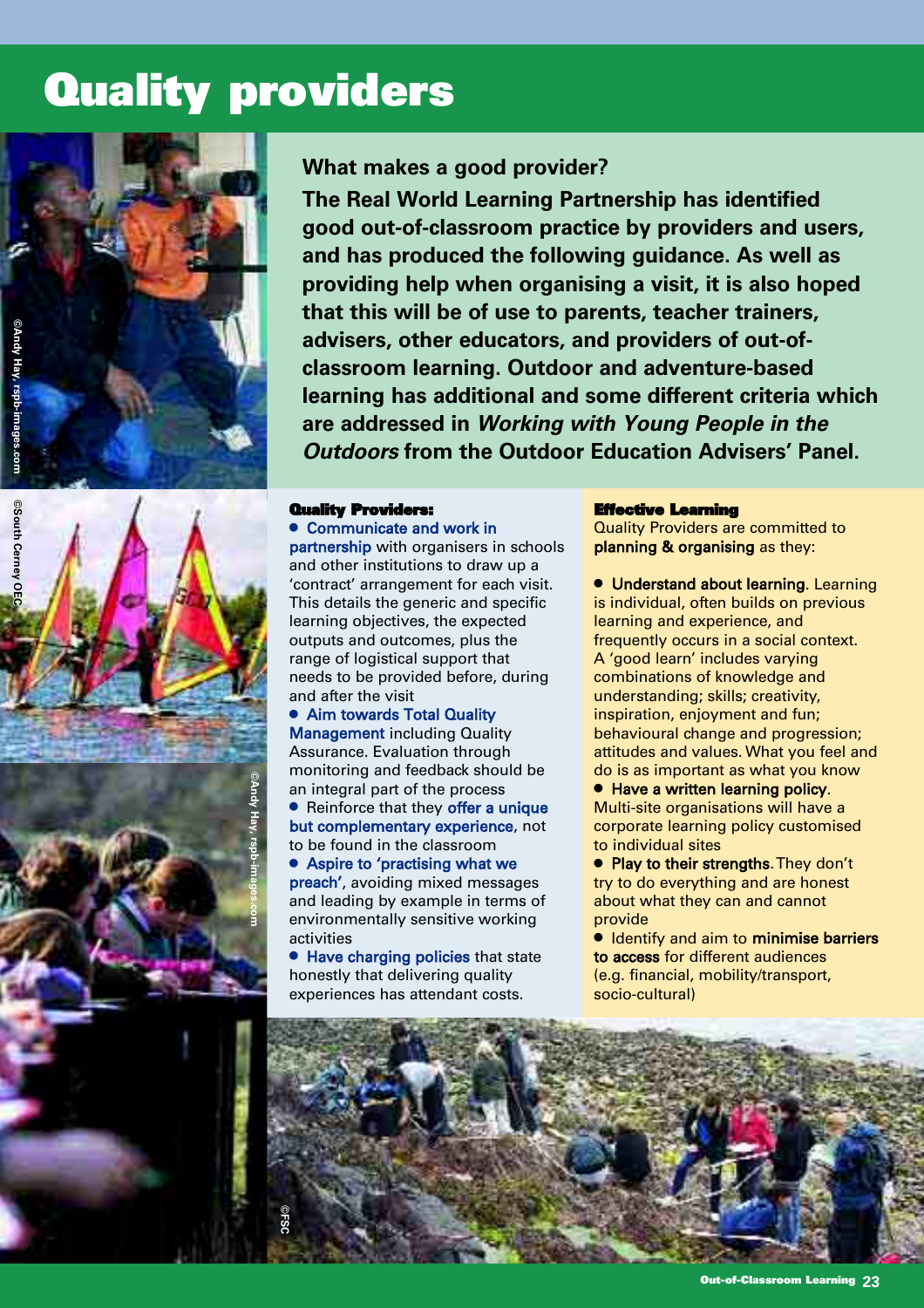## **Quality providers**





## **What makes a good provider?**

**The Real World Learning Partnership has identified good out-of-classroom practice by providers and users, and has produced the following guidance. As well as providing help when organising a visit, it is also hoped that this will be of use to parents, teacher trainers, advisers, other educators, and providers of out-ofclassroom learning. Outdoor and adventure-based learning has additional and some different criteria which are addressed in Working with Young People in the Outdoors from the Outdoor Education Advisers' Panel.**

#### **Quality Providers:**

● Communicate and work in partnership with organisers in schools and other institutions to draw up a 'contract' arrangement for each visit. This details the generic and specific learning objectives, the expected outputs and outcomes, plus the range of logistical support that needs to be provided before, during and after the visit

● Aim towards Total Quality **Management including Quality** Assurance. Evaluation through monitoring and feedback should be an integral part of the process

● Reinforce that they offer a unique but complementary experience, not to be found in the classroom

Aspire to 'practising what we preach', avoiding mixed messages and leading by example in terms of environmentally sensitive working activities

● Have charging policies that state honestly that delivering quality experiences has attendant costs.

#### **Effective Learning**

Quality Providers are committed to planning & organising as they:

**• Understand about learning. Learning** is individual, often builds on previous learning and experience, and frequently occurs in a social context. A 'good learn' includes varying combinations of knowledge and understanding; skills; creativity, inspiration, enjoyment and fun; behavioural change and progression; attitudes and values. What you feel and do is as important as what you know

● Have a written learning policy. Multi-site organisations will have a corporate learning policy customised to individual sites

● Play to their strengths. They don't try to do everything and are honest about what they can and cannot provide

**• Identify and aim to minimise barriers** to access for different audiences (e.g. financial, mobility/transport, socio-cultural)

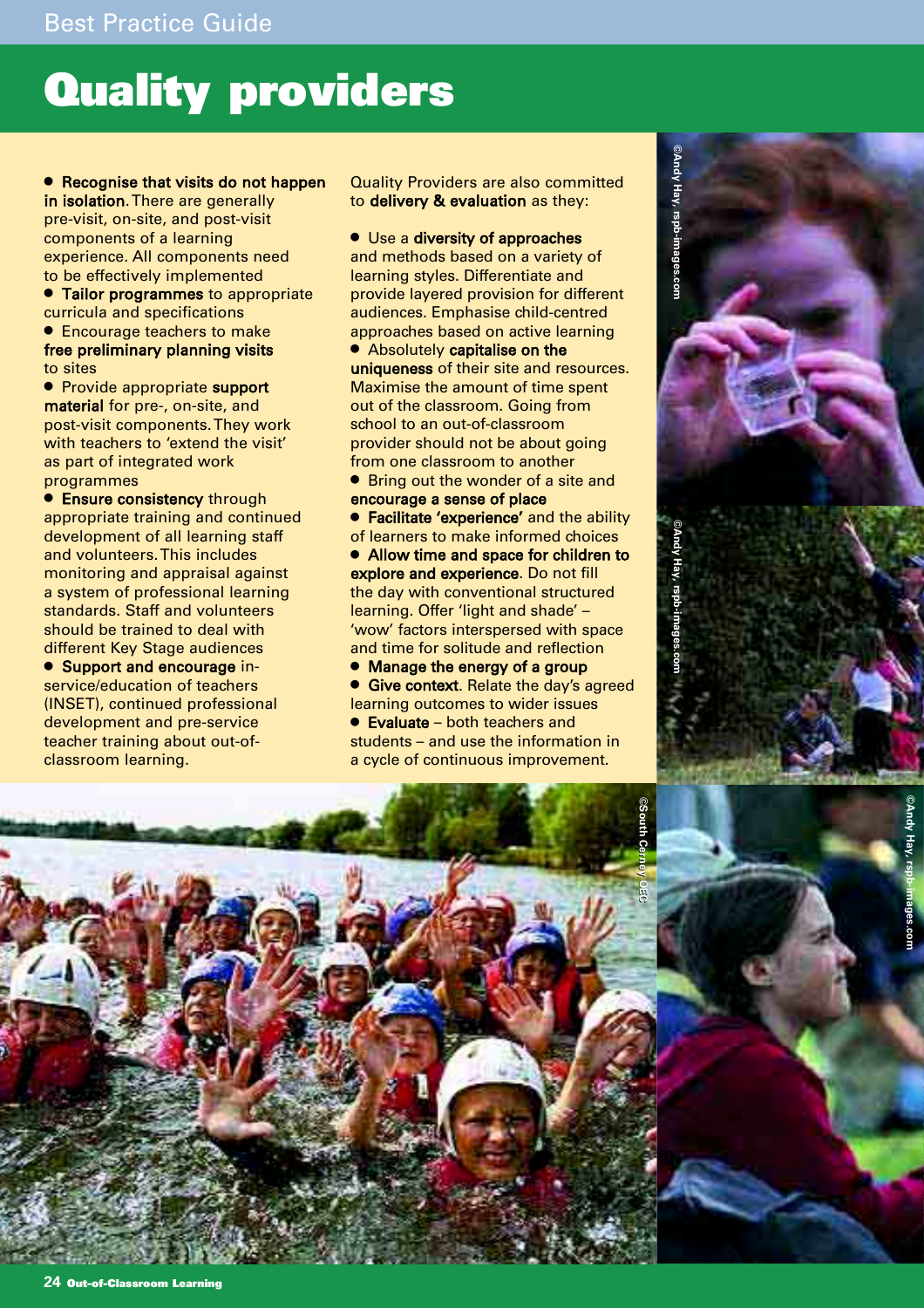## **Quality providers**

## Recognise that visits do not happen

in isolation. There are generally pre-visit, on-site, and post-visit components of a learning experience. All components need to be effectively implemented

**• Tailor programmes** to appropriate curricula and specifications

● Encourage teachers to make free preliminary planning visits to sites

● Provide appropriate support material for pre-, on-site, and post-visit components. They work with teachers to 'extend the visit' as part of integrated work programmes

**• Ensure consistency through** appropriate training and continued development of all learning staff and volunteers. This includes monitoring and appraisal against a system of professional learning standards. Staff and volunteers should be trained to deal with different Key Stage audiences

● Support and encourage inservice/education of teachers (INSET), continued professional development and pre-service teacher training about out-ofclassroom learning.

Quality Providers are also committed to delivery & evaluation as they:

● Use a diversity of approaches

and methods based on a variety of learning styles. Differentiate and provide layered provision for different audiences. Emphasise child-centred approaches based on active learning

● Absolutely capitalise on the uniqueness of their site and resources. Maximise the amount of time spent out of the classroom. Going from school to an out-of-classroom provider should not be about going from one classroom to another

● Bring out the wonder of a site and encourage a sense of place

**• Facilitate 'experience' and the ability** of learners to make informed choices

● Allow time and space for children to explore and experience. Do not fill the day with conventional structured learning. Offer 'light and shade' – 'wow' factors interspersed with space and time for solitude and reflection

● Manage the energy of a group **• Give context**. Relate the day's agreed learning outcomes to wider issues ● Evaluate – both teachers and students – and use the information in

a cycle of continuous improvement.



**©Andy Hay, rspb-images.com**

Andy Hay, rspb-images.com



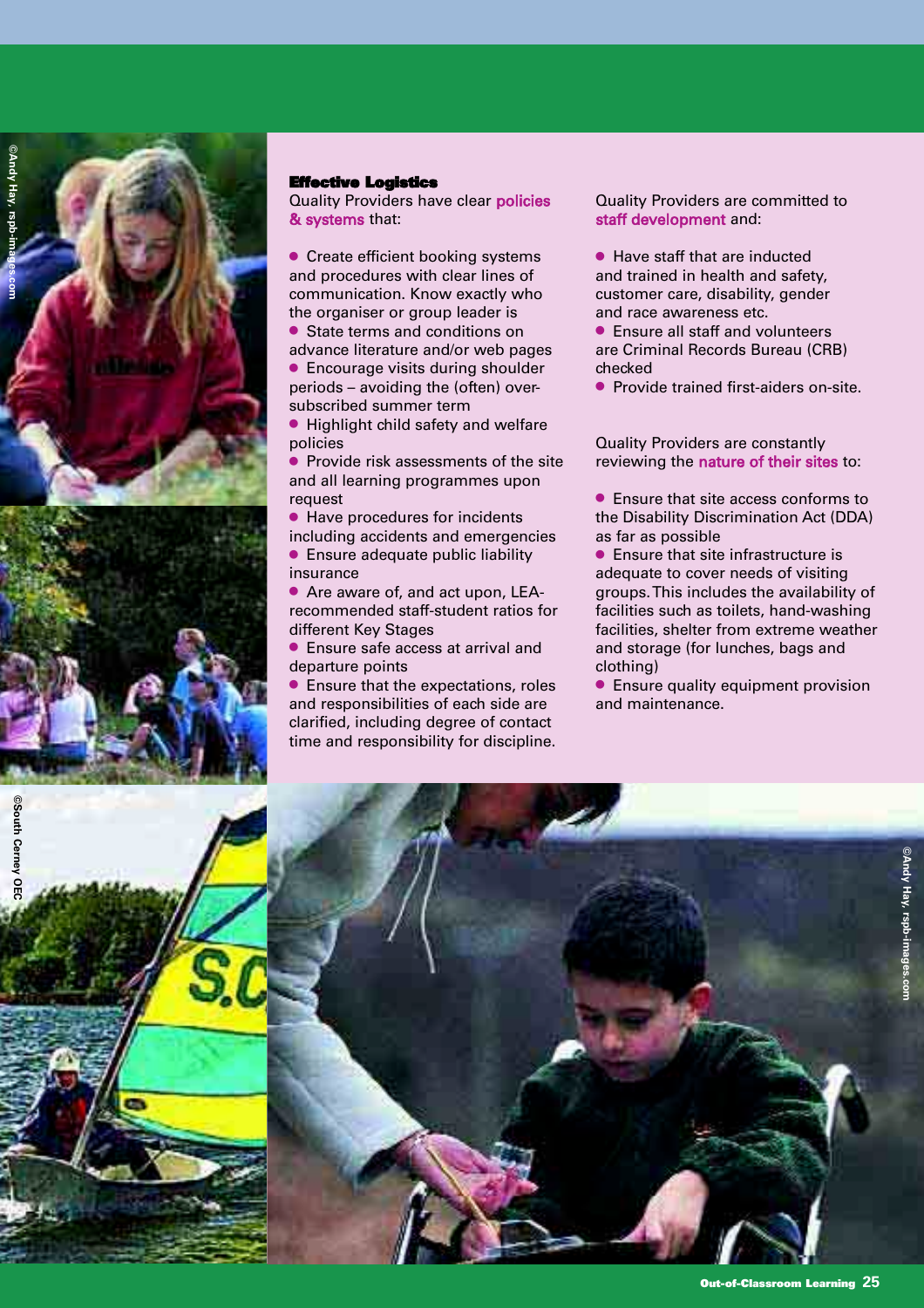



**©South Cerney OEC**

**South Cerney OEC** 

### **Effective Logistics**

Quality Providers have clear policies & systems that:

● Create efficient booking systems and procedures with clear lines of communication. Know exactly who the organiser or group leader is ● State terms and conditions on

advance literature and/or web pages ● Encourage visits during shoulder periods – avoiding the (often) oversubscribed summer term

● Highlight child safety and welfare policies

Provide risk assessments of the site and all learning programmes upon request

● Have procedures for incidents including accidents and emergencies

● Ensure adequate public liability insurance

● Are aware of, and act upon, LEArecommended staff-student ratios for different Key Stages

● Ensure safe access at arrival and departure points

● Ensure that the expectations, roles and responsibilities of each side are clarified, including degree of contact time and responsibility for discipline.

Quality Providers are committed to staff development and:

● Have staff that are inducted and trained in health and safety, customer care, disability, gender and race awareness etc.

● Ensure all staff and volunteers are Criminal Records Bureau (CRB) checked

● Provide trained first-aiders on-site.

Quality Providers are constantly reviewing the nature of their sites to:

● Ensure that site access conforms to the Disability Discrimination Act (DDA) as far as possible

● Ensure that site infrastructure is adequate to cover needs of visiting groups. This includes the availability of facilities such as toilets, hand-washing facilities, shelter from extreme weather and storage (for lunches, bags and clothing)

● Ensure quality equipment provision and maintenance.

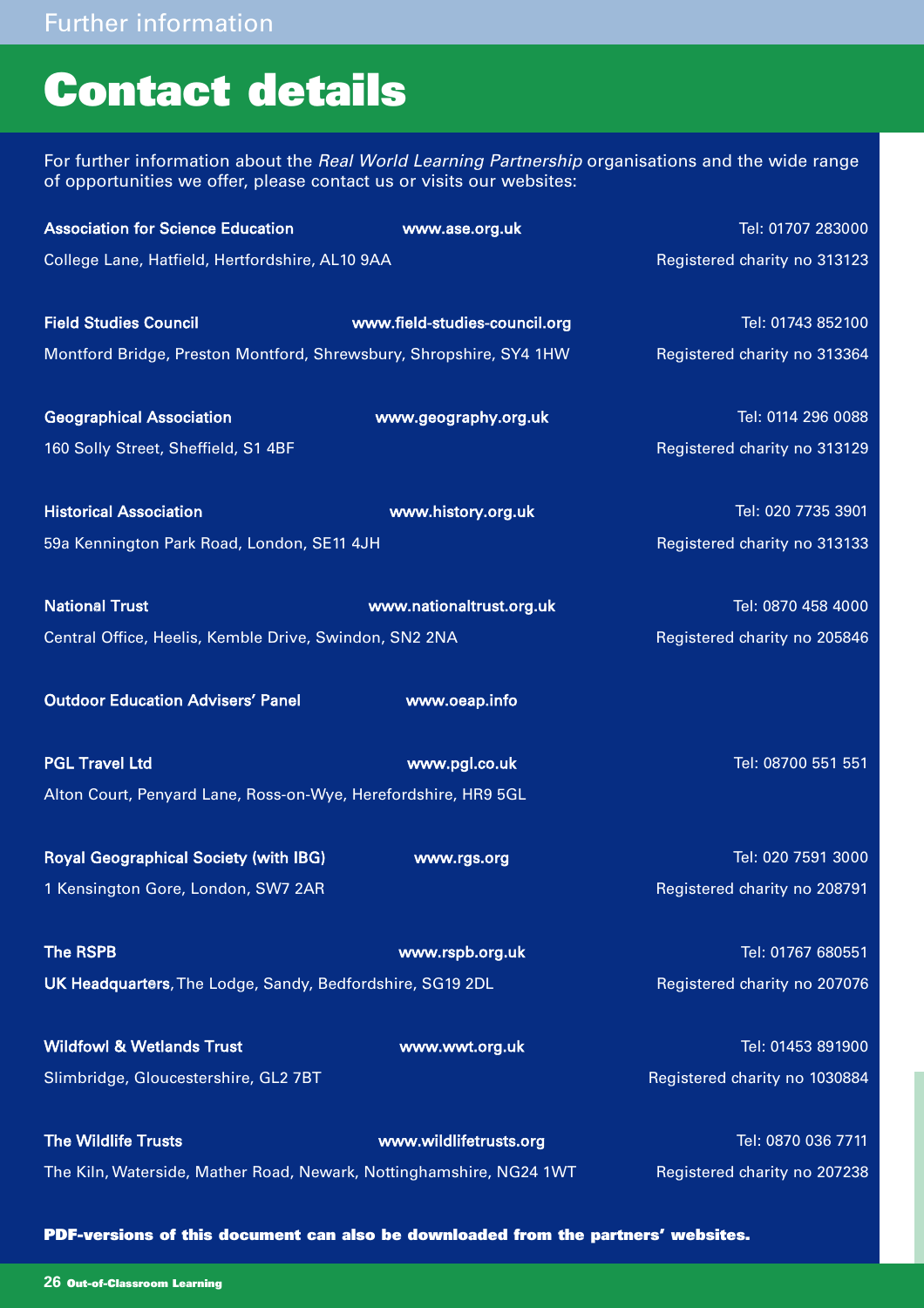## **Contact details**

For further information about the Real World Learning Partnership organisations and the wide range of opportunities we offer, please contact us or visits our websites:

| <b>Association for Science Education</b>                            | www.ase.org.uk                | Tel: 01707 283000             |
|---------------------------------------------------------------------|-------------------------------|-------------------------------|
| College Lane, Hatfield, Hertfordshire, AL10 9AA                     |                               | Registered charity no 313123  |
| <b>Field Studies Council</b>                                        | www.field-studies-council.org | Tel: 01743 852100             |
|                                                                     |                               |                               |
| Montford Bridge, Preston Montford, Shrewsbury, Shropshire, SY4 1HW  |                               | Registered charity no 313364  |
| <b>Geographical Association</b>                                     | www.geography.org.uk          | Tel: 0114 296 0088            |
| 160 Solly Street, Sheffield, S1 4BF                                 |                               | Registered charity no 313129  |
| <b>Historical Association</b>                                       | www.history.org.uk            | Tel: 020 7735 3901            |
| 59a Kennington Park Road, London, SE11 4JH                          |                               | Registered charity no 313133  |
| <b>National Trust</b>                                               | www.nationaltrust.org.uk      | Tel: 0870 458 4000            |
| Central Office, Heelis, Kemble Drive, Swindon, SN2 2NA              |                               | Registered charity no 205846  |
| <b>Outdoor Education Advisers' Panel</b>                            | www.oeap.info                 |                               |
| <b>PGL Travel Ltd</b>                                               | www.pgl.co.uk                 | Tel: 08700 551 551            |
| Alton Court, Penyard Lane, Ross-on-Wye, Herefordshire, HR9 5GL      |                               |                               |
| <b>Royal Geographical Society (with IBG)</b>                        | www.rgs.org                   | Tel: 020 7591 3000            |
| 1 Kensington Gore, London, SW7 2AR                                  |                               | Registered charity no 208791  |
| <b>The RSPB</b>                                                     | www.rspb.org.uk               | Tel: 01767 680551             |
| UK Headquarters, The Lodge, Sandy, Bedfordshire, SG19 2DL           |                               | Registered charity no 207076  |
| <b>Wildfowl &amp; Wetlands Trust</b>                                | www.wwt.org.uk                | Tel: 01453 891900             |
| Slimbridge, Gloucestershire, GL2 7BT                                |                               | Registered charity no 1030884 |
| <b>The Wildlife Trusts</b>                                          | www.wildlifetrusts.org        | Tel: 0870 036 7711            |
| The Kiln, Waterside, Mather Road, Newark, Nottinghamshire, NG24 1WT |                               | Registered charity no 207238  |

**PDF-versions of this document can also be downloaded from the partners' websites.**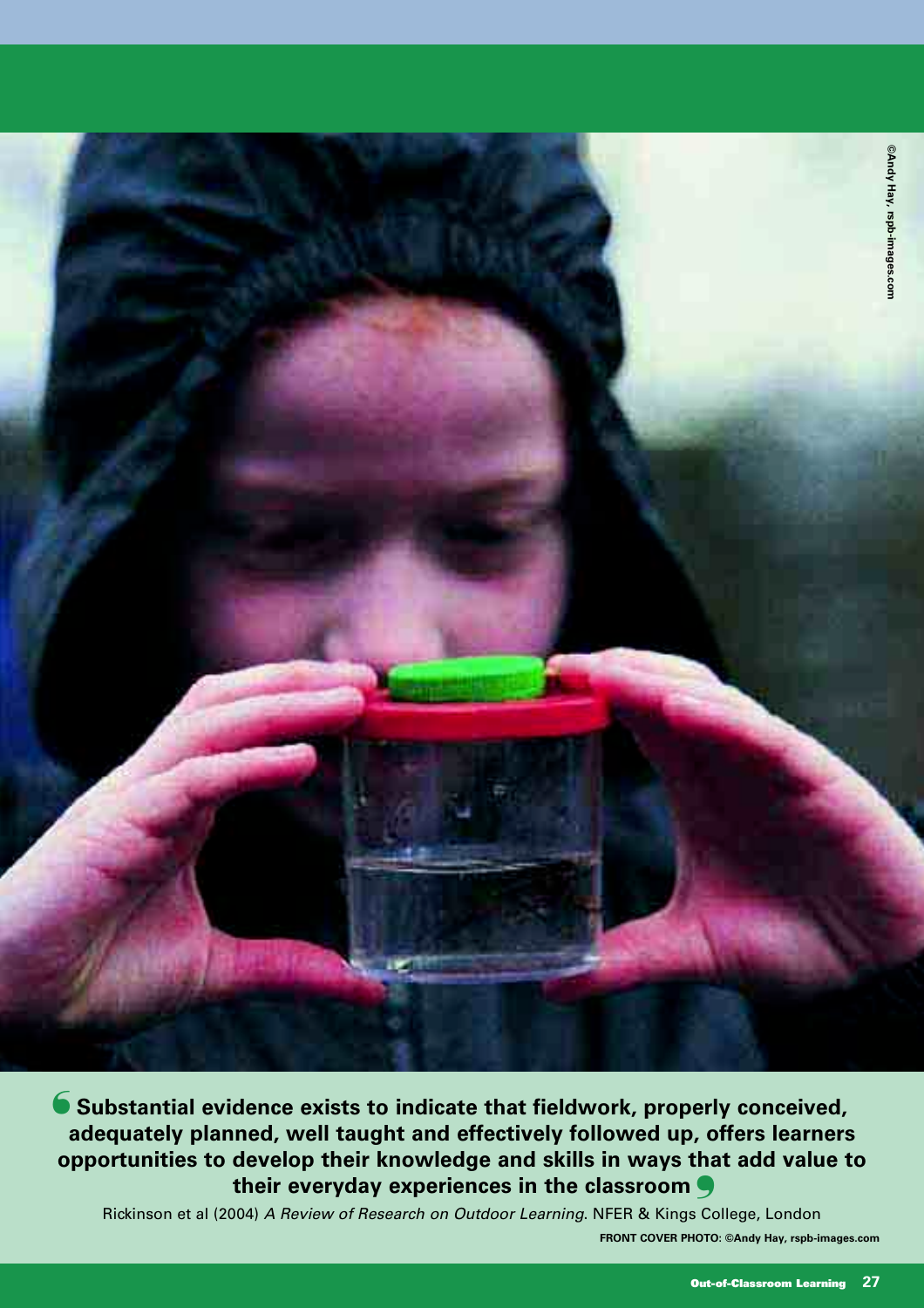

**Substantial evidence exists to indicate that fieldwork, properly conceived,** ❛ **adequately planned, well taught and effectively followed up, offers learners opportunities to develop their knowledge and skills in ways that add value to their everyday experiences in the classroom**  ❜

Rickinson et al (2004) A Review of Research on Outdoor Learning. NFER & Kings College, London **FRONT COVER PHOTO: ©Andy Hay, rspb-images.com**